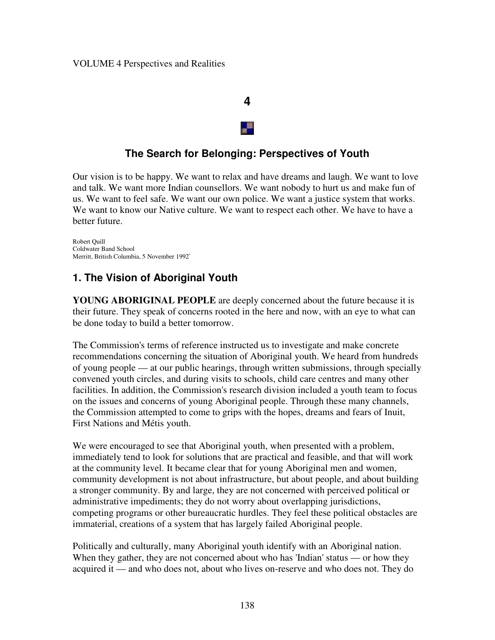# **4**

## **The Search for Belonging: Perspectives of Youth**

Our vision is to be happy. We want to relax and have dreams and laugh. We want to love and talk. We want more Indian counsellors. We want nobody to hurt us and make fun of us. We want to feel safe. We want our own police. We want a justice system that works. We want to know our Native culture. We want to respect each other. We have to have a better future.

Robert Quill Coldwater Band School Merritt, British Columbia, 5 November 1992 \*

# **1. The Vision of Aboriginal Youth**

**YOUNG ABORIGINAL PEOPLE** are deeply concerned about the future because it is their future. They speak of concerns rooted in the here and now, with an eye to what can be done today to build a better tomorrow.

The Commission's terms of reference instructed us to investigate and make concrete recommendations concerning the situation of Aboriginal youth. We heard from hundreds of young people — at our public hearings, through written submissions, through specially convened youth circles, and during visits to schools, child care centres and many other facilities. In addition, the Commission's research division included a youth team to focus on the issues and concerns of young Aboriginal people. Through these many channels, the Commission attempted to come to grips with the hopes, dreams and fears of Inuit, First Nations and Métis youth.

We were encouraged to see that Aboriginal youth, when presented with a problem, immediately tend to look for solutions that are practical and feasible, and that will work at the community level. It became clear that for young Aboriginal men and women, community development is not about infrastructure, but about people, and about building a stronger community. By and large, they are not concerned with perceived political or administrative impediments; they do not worry about overlapping jurisdictions, competing programs or other bureaucratic hurdles. They feel these political obstacles are immaterial, creations of a system that has largely failed Aboriginal people.

Politically and culturally, many Aboriginal youth identify with an Aboriginal nation. When they gather, they are not concerned about who has 'Indian' status — or how they acquired it — and who does not, about who lives on-reserve and who does not. They do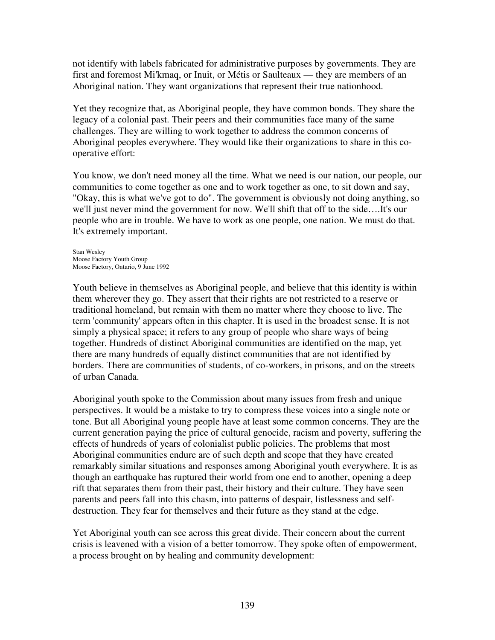not identify with labels fabricated for administrative purposes by governments. They are first and foremost Mi'kmaq, or Inuit, or Métis or Saulteaux — they are members of an Aboriginal nation. They want organizations that represent their true nationhood.

Yet they recognize that, as Aboriginal people, they have common bonds. They share the legacy of a colonial past. Their peers and their communities face many of the same challenges. They are willing to work together to address the common concerns of Aboriginal peoples everywhere. They would like their organizations to share in this cooperative effort:

You know, we don't need money all the time. What we need is our nation, our people, our communities to come together as one and to work together as one, to sit down and say, "Okay, this is what we've got to do". The government is obviously not doing anything, so we'll just never mind the government for now. We'll shift that off to the side….It's our people who are in trouble. We have to work as one people, one nation. We must do that. It's extremely important.

Stan Wesley Moose Factory Youth Group Moose Factory, Ontario, 9 June 1992

Youth believe in themselves as Aboriginal people, and believe that this identity is within them wherever they go. They assert that their rights are not restricted to a reserve or traditional homeland, but remain with them no matter where they choose to live. The term 'community' appears often in this chapter. It is used in the broadest sense. It is not simply a physical space; it refers to any group of people who share ways of being together. Hundreds of distinct Aboriginal communities are identified on the map, yet there are many hundreds of equally distinct communities that are not identified by borders. There are communities of students, of co-workers, in prisons, and on the streets of urban Canada.

Aboriginal youth spoke to the Commission about many issues from fresh and unique perspectives. It would be a mistake to try to compress these voices into a single note or tone. But all Aboriginal young people have at least some common concerns. They are the current generation paying the price of cultural genocide, racism and poverty, suffering the effects of hundreds of years of colonialist public policies. The problems that most Aboriginal communities endure are of such depth and scope that they have created remarkably similar situations and responses among Aboriginal youth everywhere. It is as though an earthquake has ruptured their world from one end to another, opening a deep rift that separates them from their past, their history and their culture. They have seen parents and peers fall into this chasm, into patterns of despair, listlessness and selfdestruction. They fear for themselves and their future as they stand at the edge.

Yet Aboriginal youth can see across this great divide. Their concern about the current crisis is leavened with a vision of a better tomorrow. They spoke often of empowerment, a process brought on by healing and community development: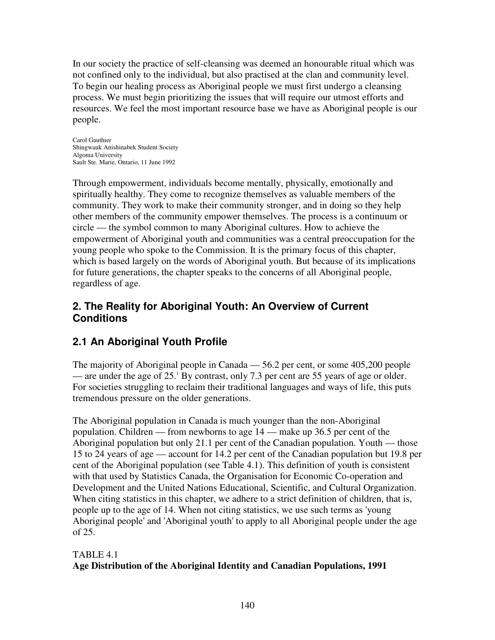In our society the practice of self-cleansing was deemed an honourable ritual which was not confined only to the individual, but also practised at the clan and community level. To begin our healing process as Aboriginal people we must first undergo a cleansing process. We must begin prioritizing the issues that will require our utmost efforts and resources. We feel the most important resource base we have as Aboriginal people is our people.

Carol Gauthier Shingwauk Anishinabek Student Society Algoma University Sault Ste. Marie, Ontario, 11 June 1992

Through empowerment, individuals become mentally, physically, emotionally and spiritually healthy. They come to recognize themselves as valuable members of the community. They work to make their community stronger, and in doing so they help other members of the community empower themselves. The process is a continuum or circle — the symbol common to many Aboriginal cultures. How to achieve the empowerment of Aboriginal youth and communities was a central preoccupation for the young people who spoke to the Commission. It is the primary focus of this chapter, which is based largely on the words of Aboriginal youth. But because of its implications for future generations, the chapter speaks to the concerns of all Aboriginal people, regardless of age.

# **2. The Reality for Aboriginal Youth: An Overview of Current Conditions**

# **2.1 An Aboriginal Youth Profile**

The majority of Aboriginal people in Canada — 56.2 per cent, or some 405,200 people — are under the age of 25. <sup>1</sup> By contrast, only 7.3 per cent are 55 years of age or older. For societies struggling to reclaim their traditional languages and ways of life, this puts tremendous pressure on the older generations.

The Aboriginal population in Canada is much younger than the non-Aboriginal population. Children — from newborns to age 14 — make up 36.5 per cent of the Aboriginal population but only 21.1 per cent of the Canadian population. Youth — those 15 to 24 years of age — account for 14.2 per cent of the Canadian population but 19.8 per cent of the Aboriginal population (see Table 4.1). This definition of youth is consistent with that used by Statistics Canada, the Organisation for Economic Co-operation and Development and the United Nations Educational, Scientific, and Cultural Organization. When citing statistics in this chapter, we adhere to a strict definition of children, that is, people up to the age of 14. When not citing statistics, we use such terms as 'young Aboriginal people' and 'Aboriginal youth' to apply to all Aboriginal people under the age of 25.

## TABLE 4.1 **Age Distribution of the Aboriginal Identity and Canadian Populations, 1991**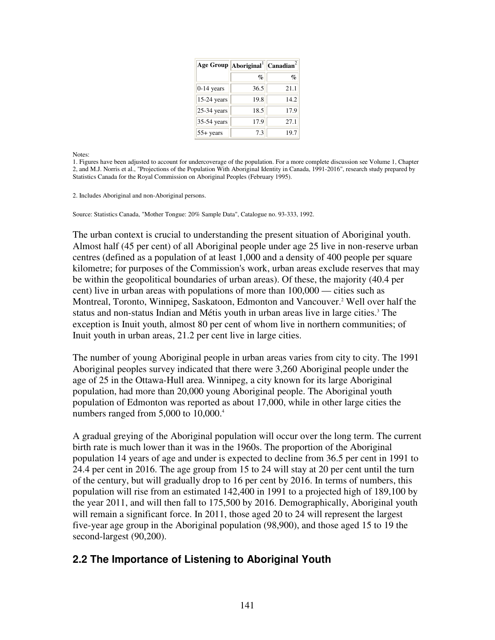|               | Age Group Aboriginal | Canadian <sup>2</sup> |
|---------------|----------------------|-----------------------|
|               | $\mathcal{G}_0$      | $\mathcal{G}_0$       |
| $0-14$ years  | 36.5                 | 21.1                  |
| $15-24$ years | 19.8                 | 14.2                  |
| $25-34$ years | 18.5                 | 17.9                  |
| 35-54 years   | 17.9                 | 27.1                  |
| $55+$ years   | 7.3                  | 19.7                  |

Notes:

1. Figures have been adjusted to account for undercoverage of the population. For a more complete discussion see Volume 1, Chapter 2, and M.J. Norris et al., "Projections of the Population With Aboriginal Identity in Canada, 1991-2016", research study prepared by Statistics Canada for the Royal Commission on Aboriginal Peoples (February 1995).

2. Includes Aboriginal and non-Aboriginal persons.

Source: Statistics Canada, "Mother Tongue: 20% Sample Data", Catalogue no. 93-333, 1992.

The urban context is crucial to understanding the present situation of Aboriginal youth. Almost half (45 per cent) of all Aboriginal people under age 25 live in non-reserve urban centres (defined as a population of at least 1,000 and a density of 400 people per square kilometre; for purposes of the Commission's work, urban areas exclude reserves that may be within the geopolitical boundaries of urban areas). Of these, the majority (40.4 per cent) live in urban areas with populations of more than 100,000 — cities such as Montreal, Toronto, Winnipeg, Saskatoon, Edmonton and Vancouver. <sup>2</sup> Well over half the status and non-status Indian and Métis youth in urban areas live in large cities. <sup>3</sup> The exception is Inuit youth, almost 80 per cent of whom live in northern communities; of Inuit youth in urban areas, 21.2 per cent live in large cities.

The number of young Aboriginal people in urban areas varies from city to city. The 1991 Aboriginal peoples survey indicated that there were 3,260 Aboriginal people under the age of 25 in the Ottawa-Hull area. Winnipeg, a city known for its large Aboriginal population, had more than 20,000 young Aboriginal people. The Aboriginal youth population of Edmonton was reported as about 17,000, while in other large cities the numbers ranged from 5,000 to 10,000. 4

A gradual greying of the Aboriginal population will occur over the long term. The current birth rate is much lower than it was in the 1960s. The proportion of the Aboriginal population 14 years of age and under is expected to decline from 36.5 per cent in 1991 to 24.4 per cent in 2016. The age group from 15 to 24 will stay at 20 per cent until the turn of the century, but will gradually drop to 16 per cent by 2016. In terms of numbers, this population will rise from an estimated 142,400 in 1991 to a projected high of 189,100 by the year 2011, and will then fall to 175,500 by 2016. Demographically, Aboriginal youth will remain a significant force. In 2011, those aged 20 to 24 will represent the largest five-year age group in the Aboriginal population (98,900), and those aged 15 to 19 the second-largest (90,200).

## **2.2 The Importance of Listening to Aboriginal Youth**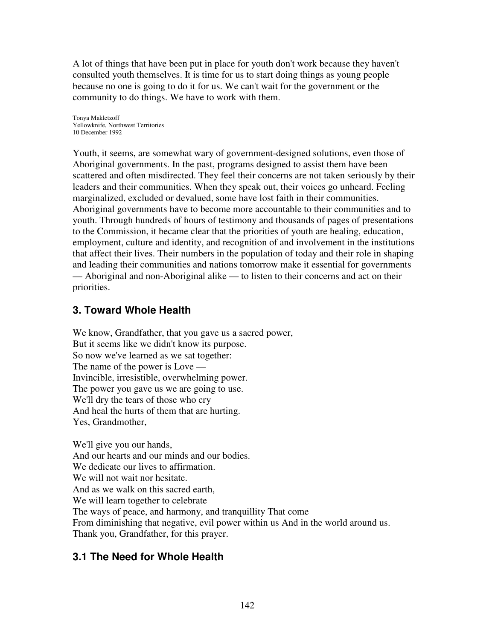A lot of things that have been put in place for youth don't work because they haven't consulted youth themselves. It is time for us to start doing things as young people because no one is going to do it for us. We can't wait for the government or the community to do things. We have to work with them.

Tonya Makletzoff Yellowknife, Northwest Territories 10 December 1992

Youth, it seems, are somewhat wary of government-designed solutions, even those of Aboriginal governments. In the past, programs designed to assist them have been scattered and often misdirected. They feel their concerns are not taken seriously by their leaders and their communities. When they speak out, their voices go unheard. Feeling marginalized, excluded or devalued, some have lost faith in their communities. Aboriginal governments have to become more accountable to their communities and to youth. Through hundreds of hours of testimony and thousands of pages of presentations to the Commission, it became clear that the priorities of youth are healing, education, employment, culture and identity, and recognition of and involvement in the institutions that affect their lives. Their numbers in the population of today and their role in shaping and leading their communities and nations tomorrow make it essential for governments — Aboriginal and non-Aboriginal alike — to listen to their concerns and act on their priorities.

# **3. Toward Whole Health**

We know, Grandfather, that you gave us a sacred power, But it seems like we didn't know its purpose. So now we've learned as we sat together: The name of the power is Love — Invincible, irresistible, overwhelming power. The power you gave us we are going to use. We'll dry the tears of those who cry And heal the hurts of them that are hurting. Yes, Grandmother,

We'll give you our hands, And our hearts and our minds and our bodies. We dedicate our lives to affirmation. We will not wait nor hesitate. And as we walk on this sacred earth, We will learn together to celebrate The ways of peace, and harmony, and tranquillity That come From diminishing that negative, evil power within us And in the world around us. Thank you, Grandfather, for this prayer.

# **3.1 The Need for Whole Health**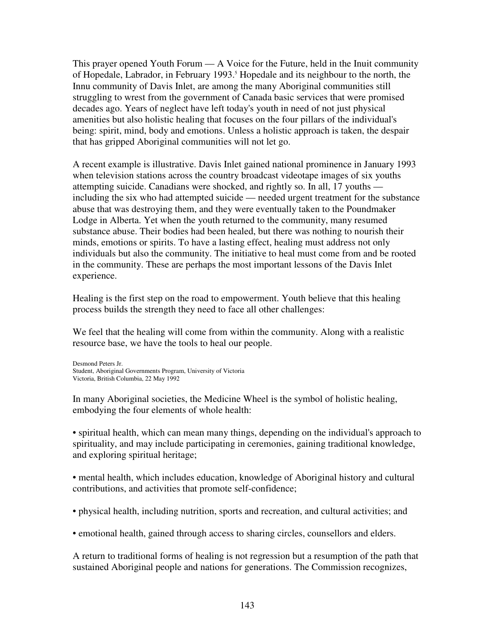This prayer opened Youth Forum — A Voice for the Future, held in the Inuit community of Hopedale, Labrador, in February 1993. <sup>5</sup> Hopedale and its neighbour to the north, the Innu community of Davis Inlet, are among the many Aboriginal communities still struggling to wrest from the government of Canada basic services that were promised decades ago. Years of neglect have left today's youth in need of not just physical amenities but also holistic healing that focuses on the four pillars of the individual's being: spirit, mind, body and emotions. Unless a holistic approach is taken, the despair that has gripped Aboriginal communities will not let go.

A recent example is illustrative. Davis Inlet gained national prominence in January 1993 when television stations across the country broadcast videotape images of six youths attempting suicide. Canadians were shocked, and rightly so. In all, 17 youths including the six who had attempted suicide — needed urgent treatment for the substance abuse that was destroying them, and they were eventually taken to the Poundmaker Lodge in Alberta. Yet when the youth returned to the community, many resumed substance abuse. Their bodies had been healed, but there was nothing to nourish their minds, emotions or spirits. To have a lasting effect, healing must address not only individuals but also the community. The initiative to heal must come from and be rooted in the community. These are perhaps the most important lessons of the Davis Inlet experience.

Healing is the first step on the road to empowerment. Youth believe that this healing process builds the strength they need to face all other challenges:

We feel that the healing will come from within the community. Along with a realistic resource base, we have the tools to heal our people.

```
Desmond Peters Jr.
Student, Aboriginal Governments Program, University of Victoria
Victoria, British Columbia, 22 May 1992
```
In many Aboriginal societies, the Medicine Wheel is the symbol of holistic healing, embodying the four elements of whole health:

• spiritual health, which can mean many things, depending on the individual's approach to spirituality, and may include participating in ceremonies, gaining traditional knowledge, and exploring spiritual heritage;

• mental health, which includes education, knowledge of Aboriginal history and cultural contributions, and activities that promote self-confidence;

• physical health, including nutrition, sports and recreation, and cultural activities; and

• emotional health, gained through access to sharing circles, counsellors and elders.

A return to traditional forms of healing is not regression but a resumption of the path that sustained Aboriginal people and nations for generations. The Commission recognizes,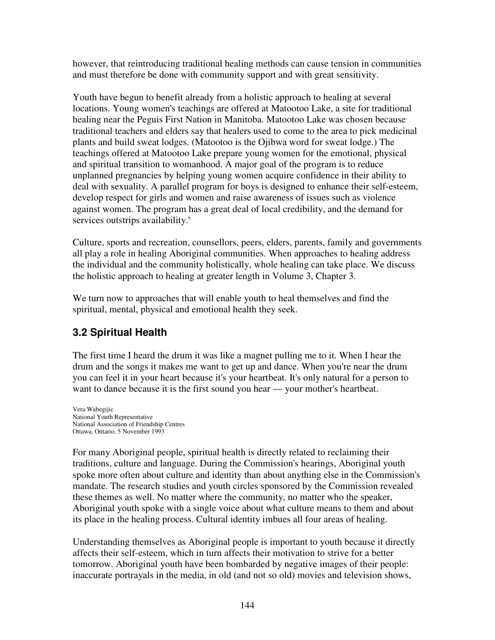however, that reintroducing traditional healing methods can cause tension in communities and must therefore be done with community support and with great sensitivity.

Youth have begun to benefit already from a holistic approach to healing at several locations. Young women's teachings are offered at Matootoo Lake, a site for traditional healing near the Peguis First Nation in Manitoba. Matootoo Lake was chosen because traditional teachers and elders say that healers used to come to the area to pick medicinal plants and build sweat lodges. (Matootoo is the Ojibwa word for sweat lodge.) The teachings offered at Matootoo Lake prepare young women for the emotional, physical and spiritual transition to womanhood. A major goal of the program is to reduce unplanned pregnancies by helping young women acquire confidence in their ability to deal with sexuality. A parallel program for boys is designed to enhance their self-esteem, develop respect for girls and women and raise awareness of issues such as violence against women. The program has a great deal of local credibility, and the demand for services outstrips availability.<sup>6</sup>

Culture, sports and recreation, counsellors, peers, elders, parents, family and governments all play a role in healing Aboriginal communities. When approaches to healing address the individual and the community holistically, whole healing can take place. We discuss the holistic approach to healing at greater length in Volume 3, Chapter 3.

We turn now to approaches that will enable youth to heal themselves and find the spiritual, mental, physical and emotional health they seek.

# **3.2 Spiritual Health**

The first time I heard the drum it was like a magnet pulling me to it. When I hear the drum and the songs it makes me want to get up and dance. When you're near the drum you can feel it in your heart because it's your heartbeat. It's only natural for a person to want to dance because it is the first sound you hear — your mother's heartbeat.

Vera Wabegijic National Youth Representative National Association of Friendship Centres Ottawa, Ontario, 5 November 1993

For many Aboriginal people, spiritual health is directly related to reclaiming their traditions, culture and language. During the Commission's hearings, Aboriginal youth spoke more often about culture and identity than about anything else in the Commission's mandate. The research studies and youth circles sponsored by the Commission revealed these themes as well. No matter where the community, no matter who the speaker, Aboriginal youth spoke with a single voice about what culture means to them and about its place in the healing process. Cultural identity imbues all four areas of healing.

Understanding themselves as Aboriginal people is important to youth because it directly affects their self-esteem, which in turn affects their motivation to strive for a better tomorrow. Aboriginal youth have been bombarded by negative images of their people: inaccurate portrayals in the media, in old (and not so old) movies and television shows,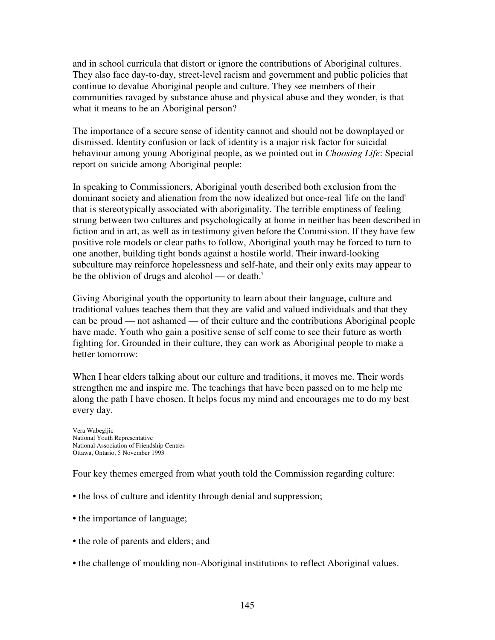and in school curricula that distort or ignore the contributions of Aboriginal cultures. They also face day-to-day, street-level racism and government and public policies that continue to devalue Aboriginal people and culture. They see members of their communities ravaged by substance abuse and physical abuse and they wonder, is that what it means to be an Aboriginal person?

The importance of a secure sense of identity cannot and should not be downplayed or dismissed. Identity confusion or lack of identity is a major risk factor for suicidal behaviour among young Aboriginal people, as we pointed out in *Choosing Life*: Special report on suicide among Aboriginal people:

In speaking to Commissioners, Aboriginal youth described both exclusion from the dominant society and alienation from the now idealized but once-real 'life on the land' that is stereotypically associated with aboriginality. The terrible emptiness of feeling strung between two cultures and psychologically at home in neither has been described in fiction and in art, as well as in testimony given before the Commission. If they have few positive role models or clear paths to follow, Aboriginal youth may be forced to turn to one another, building tight bonds against a hostile world. Their inward-looking subculture may reinforce hopelessness and self-hate, and their only exits may appear to be the oblivion of drugs and alcohol — or death.<sup>7</sup>

Giving Aboriginal youth the opportunity to learn about their language, culture and traditional values teaches them that they are valid and valued individuals and that they can be proud — not ashamed — of their culture and the contributions Aboriginal people have made. Youth who gain a positive sense of self come to see their future as worth fighting for. Grounded in their culture, they can work as Aboriginal people to make a better tomorrow:

When I hear elders talking about our culture and traditions, it moves me. Their words strengthen me and inspire me. The teachings that have been passed on to me help me along the path I have chosen. It helps focus my mind and encourages me to do my best every day.

Vera Wabegijic National Youth Representative National Association of Friendship Centres Ottawa, Ontario, 5 November 1993

Four key themes emerged from what youth told the Commission regarding culture:

- the loss of culture and identity through denial and suppression;
- the importance of language;
- the role of parents and elders; and
- the challenge of moulding non-Aboriginal institutions to reflect Aboriginal values.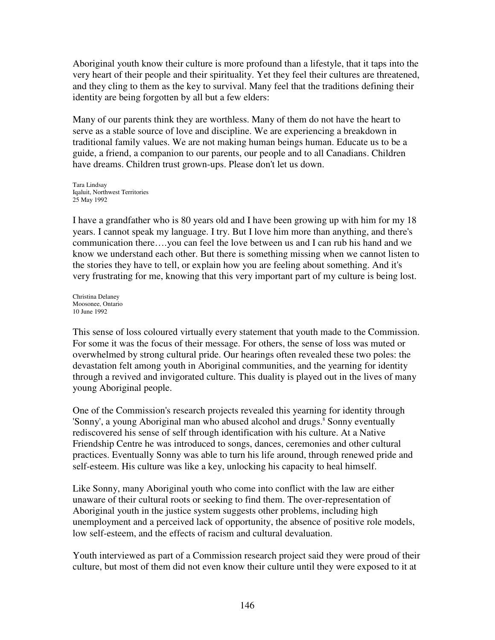Aboriginal youth know their culture is more profound than a lifestyle, that it taps into the very heart of their people and their spirituality. Yet they feel their cultures are threatened, and they cling to them as the key to survival. Many feel that the traditions defining their identity are being forgotten by all but a few elders:

Many of our parents think they are worthless. Many of them do not have the heart to serve as a stable source of love and discipline. We are experiencing a breakdown in traditional family values. We are not making human beings human. Educate us to be a guide, a friend, a companion to our parents, our people and to all Canadians. Children have dreams. Children trust grown-ups. Please don't let us down.

Tara Lindsay Iqaluit, Northwest Territories 25 May 1992

I have a grandfather who is 80 years old and I have been growing up with him for my 18 years. I cannot speak my language. I try. But I love him more than anything, and there's communication there….you can feel the love between us and I can rub his hand and we know we understand each other. But there is something missing when we cannot listen to the stories they have to tell, or explain how you are feeling about something. And it's very frustrating for me, knowing that this very important part of my culture is being lost.

Christina Delaney Moosonee, Ontario 10 June 1992

This sense of loss coloured virtually every statement that youth made to the Commission. For some it was the focus of their message. For others, the sense of loss was muted or overwhelmed by strong cultural pride. Our hearings often revealed these two poles: the devastation felt among youth in Aboriginal communities, and the yearning for identity through a revived and invigorated culture. This duality is played out in the lives of many young Aboriginal people.

One of the Commission's research projects revealed this yearning for identity through 'Sonny', a young Aboriginal man who abused alcohol and drugs. <sup>8</sup> Sonny eventually rediscovered his sense of self through identification with his culture. At a Native Friendship Centre he was introduced to songs, dances, ceremonies and other cultural practices. Eventually Sonny was able to turn his life around, through renewed pride and self-esteem. His culture was like a key, unlocking his capacity to heal himself.

Like Sonny, many Aboriginal youth who come into conflict with the law are either unaware of their cultural roots or seeking to find them. The over-representation of Aboriginal youth in the justice system suggests other problems, including high unemployment and a perceived lack of opportunity, the absence of positive role models, low self-esteem, and the effects of racism and cultural devaluation.

Youth interviewed as part of a Commission research project said they were proud of their culture, but most of them did not even know their culture until they were exposed to it at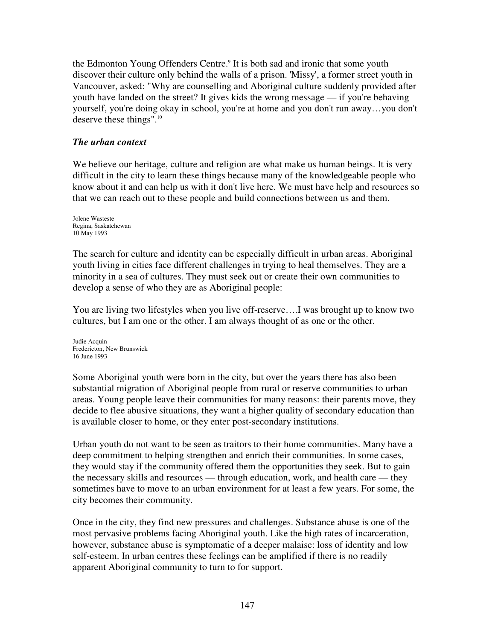the Edmonton Young Offenders Centre. 9 It is both sad and ironic that some youth discover their culture only behind the walls of a prison. 'Missy', a former street youth in Vancouver, asked: "Why are counselling and Aboriginal culture suddenly provided after youth have landed on the street? It gives kids the wrong message — if you're behaving yourself, you're doing okay in school, you're at home and you don't run away…you don't deserve these things". 10

#### *The urban context*

We believe our heritage, culture and religion are what make us human beings. It is very difficult in the city to learn these things because many of the knowledgeable people who know about it and can help us with it don't live here. We must have help and resources so that we can reach out to these people and build connections between us and them.

Jolene Wasteste Regina, Saskatchewan 10 May 1993

The search for culture and identity can be especially difficult in urban areas. Aboriginal youth living in cities face different challenges in trying to heal themselves. They are a minority in a sea of cultures. They must seek out or create their own communities to develop a sense of who they are as Aboriginal people:

You are living two lifestyles when you live off-reserve….I was brought up to know two cultures, but I am one or the other. I am always thought of as one or the other.

Judie Acquin Fredericton, New Brunswick 16 June 1993

Some Aboriginal youth were born in the city, but over the years there has also been substantial migration of Aboriginal people from rural or reserve communities to urban areas. Young people leave their communities for many reasons: their parents move, they decide to flee abusive situations, they want a higher quality of secondary education than is available closer to home, or they enter post-secondary institutions.

Urban youth do not want to be seen as traitors to their home communities. Many have a deep commitment to helping strengthen and enrich their communities. In some cases, they would stay if the community offered them the opportunities they seek. But to gain the necessary skills and resources — through education, work, and health care — they sometimes have to move to an urban environment for at least a few years. For some, the city becomes their community.

Once in the city, they find new pressures and challenges. Substance abuse is one of the most pervasive problems facing Aboriginal youth. Like the high rates of incarceration, however, substance abuse is symptomatic of a deeper malaise: loss of identity and low self-esteem. In urban centres these feelings can be amplified if there is no readily apparent Aboriginal community to turn to for support.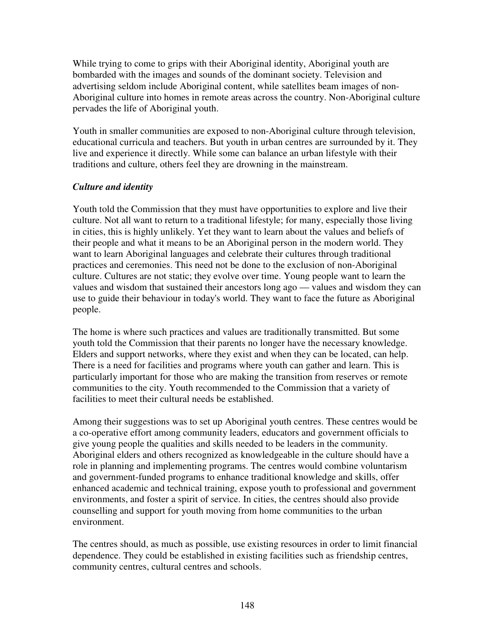While trying to come to grips with their Aboriginal identity, Aboriginal youth are bombarded with the images and sounds of the dominant society. Television and advertising seldom include Aboriginal content, while satellites beam images of non-Aboriginal culture into homes in remote areas across the country. Non-Aboriginal culture pervades the life of Aboriginal youth.

Youth in smaller communities are exposed to non-Aboriginal culture through television, educational curricula and teachers. But youth in urban centres are surrounded by it. They live and experience it directly. While some can balance an urban lifestyle with their traditions and culture, others feel they are drowning in the mainstream.

#### *Culture and identity*

Youth told the Commission that they must have opportunities to explore and live their culture. Not all want to return to a traditional lifestyle; for many, especially those living in cities, this is highly unlikely. Yet they want to learn about the values and beliefs of their people and what it means to be an Aboriginal person in the modern world. They want to learn Aboriginal languages and celebrate their cultures through traditional practices and ceremonies. This need not be done to the exclusion of non-Aboriginal culture. Cultures are not static; they evolve over time. Young people want to learn the values and wisdom that sustained their ancestors long ago — values and wisdom they can use to guide their behaviour in today's world. They want to face the future as Aboriginal people.

The home is where such practices and values are traditionally transmitted. But some youth told the Commission that their parents no longer have the necessary knowledge. Elders and support networks, where they exist and when they can be located, can help. There is a need for facilities and programs where youth can gather and learn. This is particularly important for those who are making the transition from reserves or remote communities to the city. Youth recommended to the Commission that a variety of facilities to meet their cultural needs be established.

Among their suggestions was to set up Aboriginal youth centres. These centres would be a co-operative effort among community leaders, educators and government officials to give young people the qualities and skills needed to be leaders in the community. Aboriginal elders and others recognized as knowledgeable in the culture should have a role in planning and implementing programs. The centres would combine voluntarism and government-funded programs to enhance traditional knowledge and skills, offer enhanced academic and technical training, expose youth to professional and government environments, and foster a spirit of service. In cities, the centres should also provide counselling and support for youth moving from home communities to the urban environment.

The centres should, as much as possible, use existing resources in order to limit financial dependence. They could be established in existing facilities such as friendship centres, community centres, cultural centres and schools.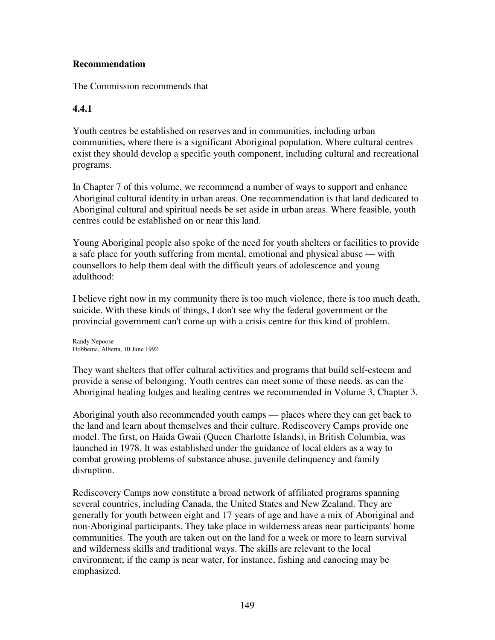#### **Recommendation**

The Commission recommends that

#### **4.4.1**

Youth centres be established on reserves and in communities, including urban communities, where there is a significant Aboriginal population. Where cultural centres exist they should develop a specific youth component, including cultural and recreational programs.

In Chapter 7 of this volume, we recommend a number of ways to support and enhance Aboriginal cultural identity in urban areas. One recommendation is that land dedicated to Aboriginal cultural and spiritual needs be set aside in urban areas. Where feasible, youth centres could be established on or near this land.

Young Aboriginal people also spoke of the need for youth shelters or facilities to provide a safe place for youth suffering from mental, emotional and physical abuse — with counsellors to help them deal with the difficult years of adolescence and young adulthood:

I believe right now in my community there is too much violence, there is too much death, suicide. With these kinds of things, I don't see why the federal government or the provincial government can't come up with a crisis centre for this kind of problem.

Randy Nepoose Hobbema, Alberta, 10 June 1992

They want shelters that offer cultural activities and programs that build self-esteem and provide a sense of belonging. Youth centres can meet some of these needs, as can the Aboriginal healing lodges and healing centres we recommended in Volume 3, Chapter 3.

Aboriginal youth also recommended youth camps — places where they can get back to the land and learn about themselves and their culture. Rediscovery Camps provide one model. The first, on Haida Gwaii (Queen Charlotte Islands), in British Columbia, was launched in 1978. It was established under the guidance of local elders as a way to combat growing problems of substance abuse, juvenile delinquency and family disruption.

Rediscovery Camps now constitute a broad network of affiliated programs spanning several countries, including Canada, the United States and New Zealand. They are generally for youth between eight and 17 years of age and have a mix of Aboriginal and non-Aboriginal participants. They take place in wilderness areas near participants' home communities. The youth are taken out on the land for a week or more to learn survival and wilderness skills and traditional ways. The skills are relevant to the local environment; if the camp is near water, for instance, fishing and canoeing may be emphasized.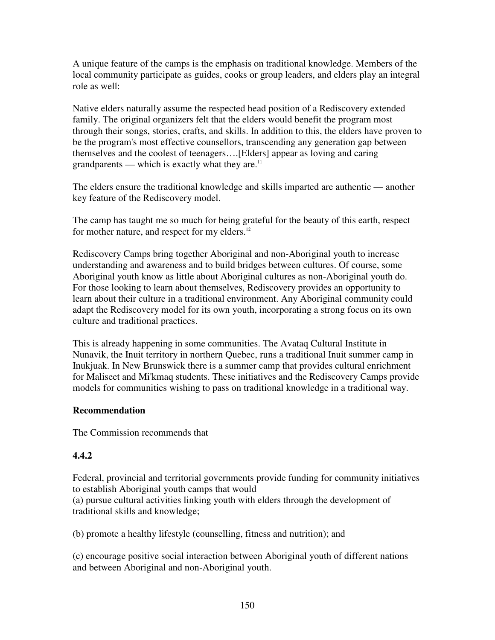A unique feature of the camps is the emphasis on traditional knowledge. Members of the local community participate as guides, cooks or group leaders, and elders play an integral role as well:

Native elders naturally assume the respected head position of a Rediscovery extended family. The original organizers felt that the elders would benefit the program most through their songs, stories, crafts, and skills. In addition to this, the elders have proven to be the program's most effective counsellors, transcending any generation gap between themselves and the coolest of teenagers….[Elders] appear as loving and caring grandparents — which is exactly what they are. $11$ 

The elders ensure the traditional knowledge and skills imparted are authentic — another key feature of the Rediscovery model.

The camp has taught me so much for being grateful for the beauty of this earth, respect for mother nature, and respect for my elders.<sup>12</sup>

Rediscovery Camps bring together Aboriginal and non-Aboriginal youth to increase understanding and awareness and to build bridges between cultures. Of course, some Aboriginal youth know as little about Aboriginal cultures as non-Aboriginal youth do. For those looking to learn about themselves, Rediscovery provides an opportunity to learn about their culture in a traditional environment. Any Aboriginal community could adapt the Rediscovery model for its own youth, incorporating a strong focus on its own culture and traditional practices.

This is already happening in some communities. The Avataq Cultural Institute in Nunavik, the Inuit territory in northern Quebec, runs a traditional Inuit summer camp in Inukjuak. In New Brunswick there is a summer camp that provides cultural enrichment for Maliseet and Mi'kmaq students. These initiatives and the Rediscovery Camps provide models for communities wishing to pass on traditional knowledge in a traditional way.

#### **Recommendation**

The Commission recommends that

## **4.4.2**

Federal, provincial and territorial governments provide funding for community initiatives to establish Aboriginal youth camps that would (a) pursue cultural activities linking youth with elders through the development of

traditional skills and knowledge;

(b) promote a healthy lifestyle (counselling, fitness and nutrition); and

(c) encourage positive social interaction between Aboriginal youth of different nations and between Aboriginal and non-Aboriginal youth.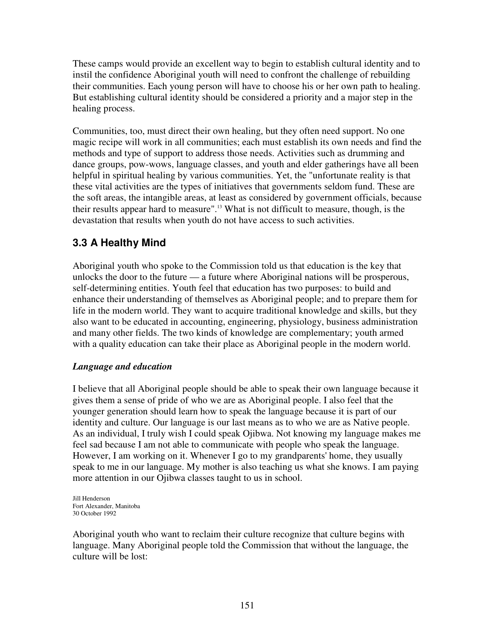These camps would provide an excellent way to begin to establish cultural identity and to instil the confidence Aboriginal youth will need to confront the challenge of rebuilding their communities. Each young person will have to choose his or her own path to healing. But establishing cultural identity should be considered a priority and a major step in the healing process.

Communities, too, must direct their own healing, but they often need support. No one magic recipe will work in all communities; each must establish its own needs and find the methods and type of support to address those needs. Activities such as drumming and dance groups, pow-wows, language classes, and youth and elder gatherings have all been helpful in spiritual healing by various communities. Yet, the "unfortunate reality is that these vital activities are the types of initiatives that governments seldom fund. These are the soft areas, the intangible areas, at least as considered by government officials, because their results appear hard to measure". <sup>13</sup> What is not difficult to measure, though, is the devastation that results when youth do not have access to such activities.

# **3.3 A Healthy Mind**

Aboriginal youth who spoke to the Commission told us that education is the key that unlocks the door to the future — a future where Aboriginal nations will be prosperous, self-determining entities. Youth feel that education has two purposes: to build and enhance their understanding of themselves as Aboriginal people; and to prepare them for life in the modern world. They want to acquire traditional knowledge and skills, but they also want to be educated in accounting, engineering, physiology, business administration and many other fields. The two kinds of knowledge are complementary; youth armed with a quality education can take their place as Aboriginal people in the modern world.

#### *Language and education*

I believe that all Aboriginal people should be able to speak their own language because it gives them a sense of pride of who we are as Aboriginal people. I also feel that the younger generation should learn how to speak the language because it is part of our identity and culture. Our language is our last means as to who we are as Native people. As an individual, I truly wish I could speak Ojibwa. Not knowing my language makes me feel sad because I am not able to communicate with people who speak the language. However, I am working on it. Whenever I go to my grandparents' home, they usually speak to me in our language. My mother is also teaching us what she knows. I am paying more attention in our Ojibwa classes taught to us in school.

Jill Henderson Fort Alexander, Manitoba 30 October 1992

Aboriginal youth who want to reclaim their culture recognize that culture begins with language. Many Aboriginal people told the Commission that without the language, the culture will be lost: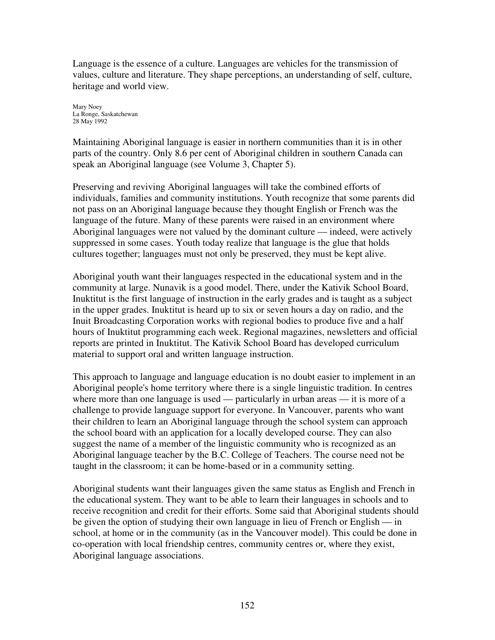Language is the essence of a culture. Languages are vehicles for the transmission of values, culture and literature. They shape perceptions, an understanding of self, culture, heritage and world view.

Mary Noey La Ronge, Saskatchewan 28 May 1992

Maintaining Aboriginal language is easier in northern communities than it is in other parts of the country. Only 8.6 per cent of Aboriginal children in southern Canada can speak an Aboriginal language (see Volume 3, Chapter 5).

Preserving and reviving Aboriginal languages will take the combined efforts of individuals, families and community institutions. Youth recognize that some parents did not pass on an Aboriginal language because they thought English or French was the language of the future. Many of these parents were raised in an environment where Aboriginal languages were not valued by the dominant culture — indeed, were actively suppressed in some cases. Youth today realize that language is the glue that holds cultures together; languages must not only be preserved, they must be kept alive.

Aboriginal youth want their languages respected in the educational system and in the community at large. Nunavik is a good model. There, under the Kativik School Board, Inuktitut is the first language of instruction in the early grades and is taught as a subject in the upper grades. Inuktitut is heard up to six or seven hours a day on radio, and the Inuit Broadcasting Corporation works with regional bodies to produce five and a half hours of Inuktitut programming each week. Regional magazines, newsletters and official reports are printed in Inuktitut. The Kativik School Board has developed curriculum material to support oral and written language instruction.

This approach to language and language education is no doubt easier to implement in an Aboriginal people's home territory where there is a single linguistic tradition. In centres where more than one language is used — particularly in urban areas — it is more of a challenge to provide language support for everyone. In Vancouver, parents who want their children to learn an Aboriginal language through the school system can approach the school board with an application for a locally developed course. They can also suggest the name of a member of the linguistic community who is recognized as an Aboriginal language teacher by the B.C. College of Teachers. The course need not be taught in the classroom; it can be home-based or in a community setting.

Aboriginal students want their languages given the same status as English and French in the educational system. They want to be able to learn their languages in schools and to receive recognition and credit for their efforts. Some said that Aboriginal students should be given the option of studying their own language in lieu of French or English — in school, at home or in the community (as in the Vancouver model). This could be done in co-operation with local friendship centres, community centres or, where they exist, Aboriginal language associations.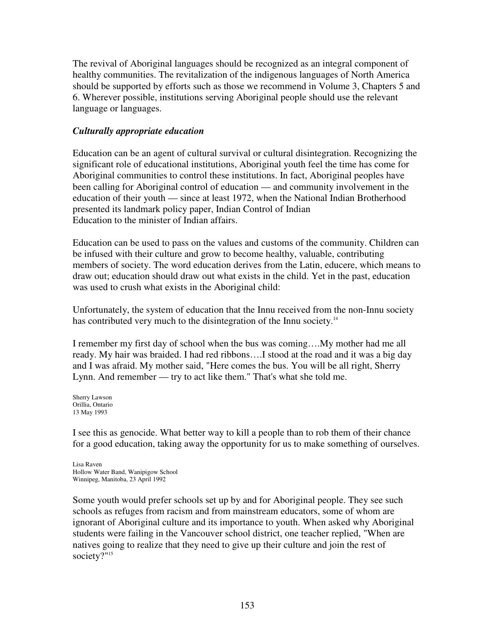The revival of Aboriginal languages should be recognized as an integral component of healthy communities. The revitalization of the indigenous languages of North America should be supported by efforts such as those we recommend in Volume 3, Chapters 5 and 6. Wherever possible, institutions serving Aboriginal people should use the relevant language or languages.

#### *Culturally appropriate education*

Education can be an agent of cultural survival or cultural disintegration. Recognizing the significant role of educational institutions, Aboriginal youth feel the time has come for Aboriginal communities to control these institutions. In fact, Aboriginal peoples have been calling for Aboriginal control of education — and community involvement in the education of their youth — since at least 1972, when the National Indian Brotherhood presented its landmark policy paper, Indian Control of Indian Education to the minister of Indian affairs.

Education can be used to pass on the values and customs of the community. Children can be infused with their culture and grow to become healthy, valuable, contributing members of society. The word education derives from the Latin, educere, which means to draw out; education should draw out what exists in the child. Yet in the past, education was used to crush what exists in the Aboriginal child:

Unfortunately, the system of education that the Innu received from the non-Innu society has contributed very much to the disintegration of the Innu society.<sup>14</sup>

I remember my first day of school when the bus was coming….My mother had me all ready. My hair was braided. I had red ribbons….I stood at the road and it was a big day and I was afraid. My mother said, "Here comes the bus. You will be all right, Sherry Lynn. And remember — try to act like them." That's what she told me.

Sherry Lawson Orillia, Ontario 13 May 1993

I see this as genocide. What better way to kill a people than to rob them of their chance for a good education, taking away the opportunity for us to make something of ourselves.

Lisa Raven Hollow Water Band, Wanipigow School Winnipeg, Manitoba, 23 April 1992

Some youth would prefer schools set up by and for Aboriginal people. They see such schools as refuges from racism and from mainstream educators, some of whom are ignorant of Aboriginal culture and its importance to youth. When asked why Aboriginal students were failing in the Vancouver school district, one teacher replied, "When are natives going to realize that they need to give up their culture and join the rest of society?" 15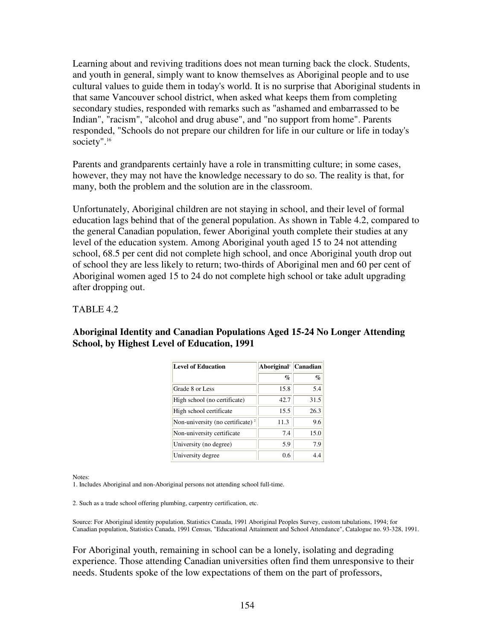Learning about and reviving traditions does not mean turning back the clock. Students, and youth in general, simply want to know themselves as Aboriginal people and to use cultural values to guide them in today's world. It is no surprise that Aboriginal students in that same Vancouver school district, when asked what keeps them from completing secondary studies, responded with remarks such as "ashamed and embarrassed to be Indian", "racism", "alcohol and drug abuse", and "no support from home". Parents responded, "Schools do not prepare our children for life in our culture or life in today's society". 16

Parents and grandparents certainly have a role in transmitting culture; in some cases, however, they may not have the knowledge necessary to do so. The reality is that, for many, both the problem and the solution are in the classroom.

Unfortunately, Aboriginal children are not staying in school, and their level of formal education lags behind that of the general population. As shown in Table 4.2, compared to the general Canadian population, fewer Aboriginal youth complete their studies at any level of the education system. Among Aboriginal youth aged 15 to 24 not attending school, 68.5 per cent did not complete high school, and once Aboriginal youth drop out of school they are less likely to return; two-thirds of Aboriginal men and 60 per cent of Aboriginal women aged 15 to 24 do not complete high school or take adult upgrading after dropping out.

#### TABLE 4.2

| <b>Level of Education</b>           | Aboriginal <sup>1</sup> Canadian |      |
|-------------------------------------|----------------------------------|------|
|                                     | $\%$                             | $\%$ |
| Grade 8 or Less                     | 15.8                             | 5.4  |
| High school (no certificate)        | 42.7                             | 31.5 |
| High school certificate             | 15.5                             | 26.3 |
| Non-university (no certificate) $2$ | 11.3                             | 9.6  |
| Non-university certificate          | 7.4                              | 15.0 |
| University (no degree)              | 5.9                              | 7.9  |
| University degree                   | 0.6                              | 4.4  |

## **Aboriginal Identity and Canadian Populations Aged 15-24 No Longer Attending School, by Highest Level of Education, 1991**

Notes:

1. Includes Aboriginal and non-Aboriginal persons not attending school full-time.

2. Such as a trade school offering plumbing, carpentry certification, etc.

Source: For Aboriginal identity population, Statistics Canada, 1991 Aboriginal Peoples Survey, custom tabulations, 1994; for Canadian population, Statistics Canada, 1991 Census, "Educational Attainment and School Attendance", Catalogue no. 93-328, 1991.

For Aboriginal youth, remaining in school can be a lonely, isolating and degrading experience. Those attending Canadian universities often find them unresponsive to their needs. Students spoke of the low expectations of them on the part of professors,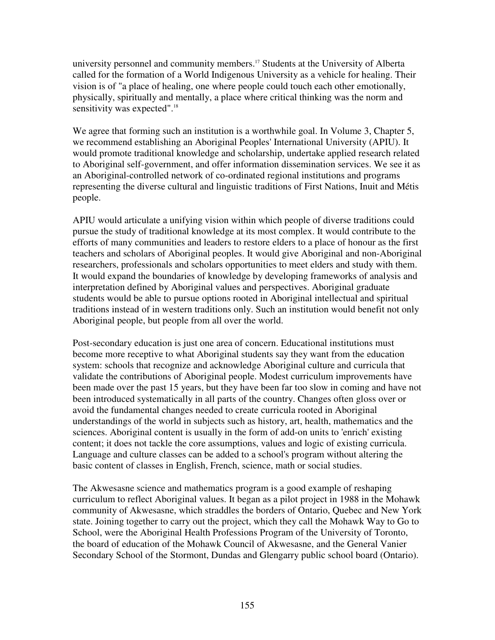university personnel and community members. <sup>17</sup> Students at the University of Alberta called for the formation of a World Indigenous University as a vehicle for healing. Their vision is of "a place of healing, one where people could touch each other emotionally, physically, spiritually and mentally, a place where critical thinking was the norm and sensitivity was expected".<sup>18</sup>

We agree that forming such an institution is a worthwhile goal. In Volume 3, Chapter 5, we recommend establishing an Aboriginal Peoples' International University (APIU). It would promote traditional knowledge and scholarship, undertake applied research related to Aboriginal self-government, and offer information dissemination services. We see it as an Aboriginal-controlled network of co-ordinated regional institutions and programs representing the diverse cultural and linguistic traditions of First Nations, Inuit and Métis people.

APIU would articulate a unifying vision within which people of diverse traditions could pursue the study of traditional knowledge at its most complex. It would contribute to the efforts of many communities and leaders to restore elders to a place of honour as the first teachers and scholars of Aboriginal peoples. It would give Aboriginal and non-Aboriginal researchers, professionals and scholars opportunities to meet elders and study with them. It would expand the boundaries of knowledge by developing frameworks of analysis and interpretation defined by Aboriginal values and perspectives. Aboriginal graduate students would be able to pursue options rooted in Aboriginal intellectual and spiritual traditions instead of in western traditions only. Such an institution would benefit not only Aboriginal people, but people from all over the world.

Post-secondary education is just one area of concern. Educational institutions must become more receptive to what Aboriginal students say they want from the education system: schools that recognize and acknowledge Aboriginal culture and curricula that validate the contributions of Aboriginal people. Modest curriculum improvements have been made over the past 15 years, but they have been far too slow in coming and have not been introduced systematically in all parts of the country. Changes often gloss over or avoid the fundamental changes needed to create curricula rooted in Aboriginal understandings of the world in subjects such as history, art, health, mathematics and the sciences. Aboriginal content is usually in the form of add-on units to 'enrich' existing content; it does not tackle the core assumptions, values and logic of existing curricula. Language and culture classes can be added to a school's program without altering the basic content of classes in English, French, science, math or social studies.

The Akwesasne science and mathematics program is a good example of reshaping curriculum to reflect Aboriginal values. It began as a pilot project in 1988 in the Mohawk community of Akwesasne, which straddles the borders of Ontario, Quebec and New York state. Joining together to carry out the project, which they call the Mohawk Way to Go to School, were the Aboriginal Health Professions Program of the University of Toronto, the board of education of the Mohawk Council of Akwesasne, and the General Vanier Secondary School of the Stormont, Dundas and Glengarry public school board (Ontario).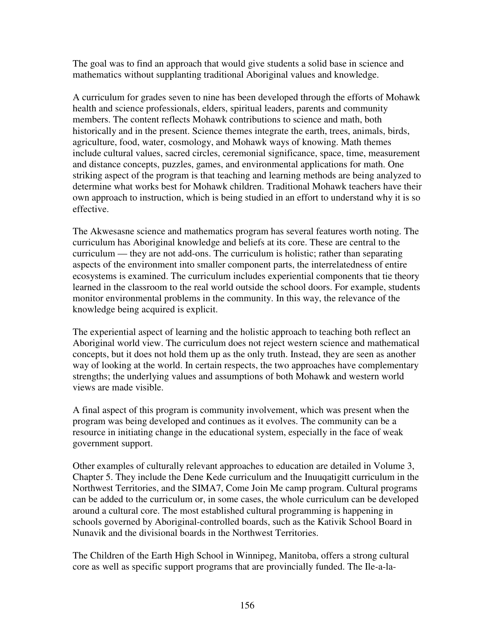The goal was to find an approach that would give students a solid base in science and mathematics without supplanting traditional Aboriginal values and knowledge.

A curriculum for grades seven to nine has been developed through the efforts of Mohawk health and science professionals, elders, spiritual leaders, parents and community members. The content reflects Mohawk contributions to science and math, both historically and in the present. Science themes integrate the earth, trees, animals, birds, agriculture, food, water, cosmology, and Mohawk ways of knowing. Math themes include cultural values, sacred circles, ceremonial significance, space, time, measurement and distance concepts, puzzles, games, and environmental applications for math. One striking aspect of the program is that teaching and learning methods are being analyzed to determine what works best for Mohawk children. Traditional Mohawk teachers have their own approach to instruction, which is being studied in an effort to understand why it is so effective.

The Akwesasne science and mathematics program has several features worth noting. The curriculum has Aboriginal knowledge and beliefs at its core. These are central to the curriculum — they are not add-ons. The curriculum is holistic; rather than separating aspects of the environment into smaller component parts, the interrelatedness of entire ecosystems is examined. The curriculum includes experiential components that tie theory learned in the classroom to the real world outside the school doors. For example, students monitor environmental problems in the community. In this way, the relevance of the knowledge being acquired is explicit.

The experiential aspect of learning and the holistic approach to teaching both reflect an Aboriginal world view. The curriculum does not reject western science and mathematical concepts, but it does not hold them up as the only truth. Instead, they are seen as another way of looking at the world. In certain respects, the two approaches have complementary strengths; the underlying values and assumptions of both Mohawk and western world views are made visible.

A final aspect of this program is community involvement, which was present when the program was being developed and continues as it evolves. The community can be a resource in initiating change in the educational system, especially in the face of weak government support.

Other examples of culturally relevant approaches to education are detailed in Volume 3, Chapter 5. They include the Dene Kede curriculum and the Inuuqatigitt curriculum in the Northwest Territories, and the SIMA7, Come Join Me camp program. Cultural programs can be added to the curriculum or, in some cases, the whole curriculum can be developed around a cultural core. The most established cultural programming is happening in schools governed by Aboriginal-controlled boards, such as the Kativik School Board in Nunavik and the divisional boards in the Northwest Territories.

The Children of the Earth High School in Winnipeg, Manitoba, offers a strong cultural core as well as specific support programs that are provincially funded. The Ile-a-la-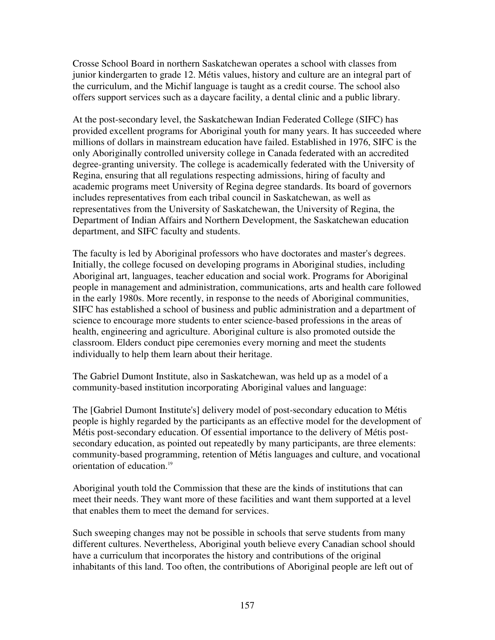Crosse School Board in northern Saskatchewan operates a school with classes from junior kindergarten to grade 12. Métis values, history and culture are an integral part of the curriculum, and the Michif language is taught as a credit course. The school also offers support services such as a daycare facility, a dental clinic and a public library.

At the post-secondary level, the Saskatchewan Indian Federated College (SIFC) has provided excellent programs for Aboriginal youth for many years. It has succeeded where millions of dollars in mainstream education have failed. Established in 1976, SIFC is the only Aboriginally controlled university college in Canada federated with an accredited degree-granting university. The college is academically federated with the University of Regina, ensuring that all regulations respecting admissions, hiring of faculty and academic programs meet University of Regina degree standards. Its board of governors includes representatives from each tribal council in Saskatchewan, as well as representatives from the University of Saskatchewan, the University of Regina, the Department of Indian Affairs and Northern Development, the Saskatchewan education department, and SIFC faculty and students.

The faculty is led by Aboriginal professors who have doctorates and master's degrees. Initially, the college focused on developing programs in Aboriginal studies, including Aboriginal art, languages, teacher education and social work. Programs for Aboriginal people in management and administration, communications, arts and health care followed in the early 1980s. More recently, in response to the needs of Aboriginal communities, SIFC has established a school of business and public administration and a department of science to encourage more students to enter science-based professions in the areas of health, engineering and agriculture. Aboriginal culture is also promoted outside the classroom. Elders conduct pipe ceremonies every morning and meet the students individually to help them learn about their heritage.

The Gabriel Dumont Institute, also in Saskatchewan, was held up as a model of a community-based institution incorporating Aboriginal values and language:

The [Gabriel Dumont Institute's] delivery model of post-secondary education to Métis people is highly regarded by the participants as an effective model for the development of Métis post-secondary education. Of essential importance to the delivery of Métis postsecondary education, as pointed out repeatedly by many participants, are three elements: community-based programming, retention of Métis languages and culture, and vocational orientation of education. 19

Aboriginal youth told the Commission that these are the kinds of institutions that can meet their needs. They want more of these facilities and want them supported at a level that enables them to meet the demand for services.

Such sweeping changes may not be possible in schools that serve students from many different cultures. Nevertheless, Aboriginal youth believe every Canadian school should have a curriculum that incorporates the history and contributions of the original inhabitants of this land. Too often, the contributions of Aboriginal people are left out of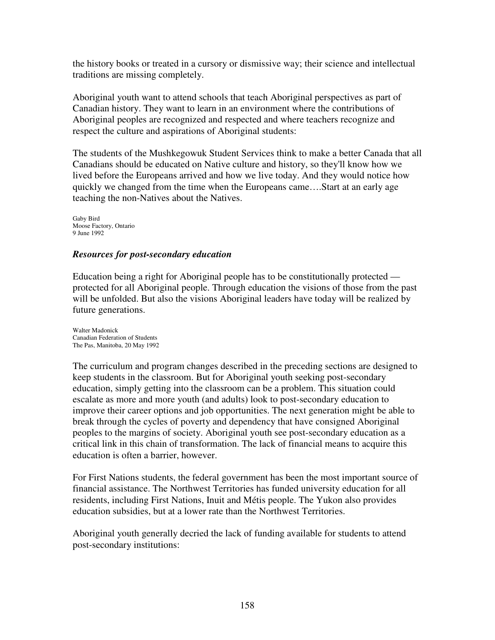the history books or treated in a cursory or dismissive way; their science and intellectual traditions are missing completely.

Aboriginal youth want to attend schools that teach Aboriginal perspectives as part of Canadian history. They want to learn in an environment where the contributions of Aboriginal peoples are recognized and respected and where teachers recognize and respect the culture and aspirations of Aboriginal students:

The students of the Mushkegowuk Student Services think to make a better Canada that all Canadians should be educated on Native culture and history, so they'll know how we lived before the Europeans arrived and how we live today. And they would notice how quickly we changed from the time when the Europeans came….Start at an early age teaching the non-Natives about the Natives.

Gaby Bird Moose Factory, Ontario 9 June 1992

#### *Resources for post-secondary education*

Education being a right for Aboriginal people has to be constitutionally protected protected for all Aboriginal people. Through education the visions of those from the past will be unfolded. But also the visions Aboriginal leaders have today will be realized by future generations.

Walter Madonick Canadian Federation of Students The Pas, Manitoba, 20 May 1992

The curriculum and program changes described in the preceding sections are designed to keep students in the classroom. But for Aboriginal youth seeking post-secondary education, simply getting into the classroom can be a problem. This situation could escalate as more and more youth (and adults) look to post-secondary education to improve their career options and job opportunities. The next generation might be able to break through the cycles of poverty and dependency that have consigned Aboriginal peoples to the margins of society. Aboriginal youth see post-secondary education as a critical link in this chain of transformation. The lack of financial means to acquire this education is often a barrier, however.

For First Nations students, the federal government has been the most important source of financial assistance. The Northwest Territories has funded university education for all residents, including First Nations, Inuit and Métis people. The Yukon also provides education subsidies, but at a lower rate than the Northwest Territories.

Aboriginal youth generally decried the lack of funding available for students to attend post-secondary institutions: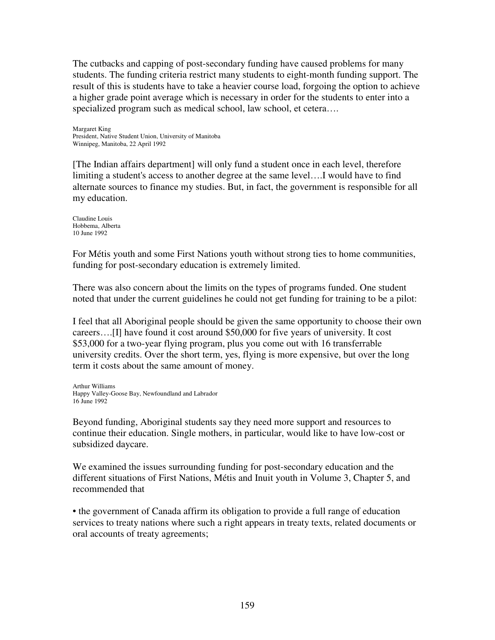The cutbacks and capping of post-secondary funding have caused problems for many students. The funding criteria restrict many students to eight-month funding support. The result of this is students have to take a heavier course load, forgoing the option to achieve a higher grade point average which is necessary in order for the students to enter into a specialized program such as medical school, law school, et cetera....

Margaret King President, Native Student Union, University of Manitoba Winnipeg, Manitoba, 22 April 1992

[The Indian affairs department] will only fund a student once in each level, therefore limiting a student's access to another degree at the same level….I would have to find alternate sources to finance my studies. But, in fact, the government is responsible for all my education.

Claudine Louis Hobbema, Alberta 10 June 1992

For Métis youth and some First Nations youth without strong ties to home communities, funding for post-secondary education is extremely limited.

There was also concern about the limits on the types of programs funded. One student noted that under the current guidelines he could not get funding for training to be a pilot:

I feel that all Aboriginal people should be given the same opportunity to choose their own careers….[I] have found it cost around \$50,000 for five years of university. It cost \$53,000 for a two-year flying program, plus you come out with 16 transferrable university credits. Over the short term, yes, flying is more expensive, but over the long term it costs about the same amount of money.

Arthur Williams Happy Valley-Goose Bay, Newfoundland and Labrador 16 June 1992

Beyond funding, Aboriginal students say they need more support and resources to continue their education. Single mothers, in particular, would like to have low-cost or subsidized daycare.

We examined the issues surrounding funding for post-secondary education and the different situations of First Nations, Métis and Inuit youth in Volume 3, Chapter 5, and recommended that

• the government of Canada affirm its obligation to provide a full range of education services to treaty nations where such a right appears in treaty texts, related documents or oral accounts of treaty agreements;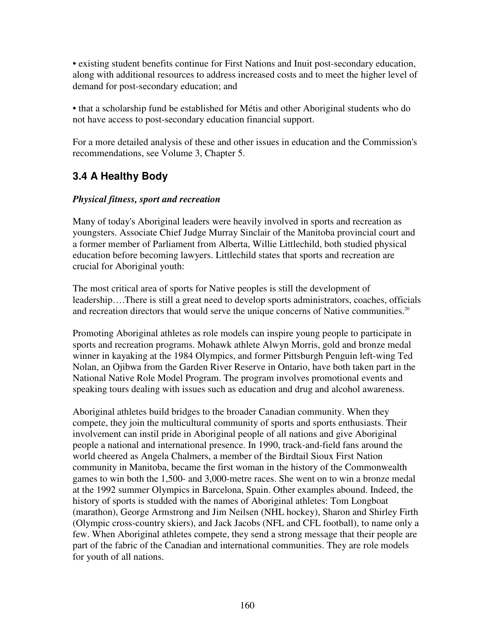• existing student benefits continue for First Nations and Inuit post-secondary education, along with additional resources to address increased costs and to meet the higher level of demand for post-secondary education; and

• that a scholarship fund be established for Métis and other Aboriginal students who do not have access to post-secondary education financial support.

For a more detailed analysis of these and other issues in education and the Commission's recommendations, see Volume 3, Chapter 5.

# **3.4 A Healthy Body**

## *Physical fitness, sport and recreation*

Many of today's Aboriginal leaders were heavily involved in sports and recreation as youngsters. Associate Chief Judge Murray Sinclair of the Manitoba provincial court and a former member of Parliament from Alberta, Willie Littlechild, both studied physical education before becoming lawyers. Littlechild states that sports and recreation are crucial for Aboriginal youth:

The most critical area of sports for Native peoples is still the development of leadership….There is still a great need to develop sports administrators, coaches, officials and recreation directors that would serve the unique concerns of Native communities.<sup>20</sup>

Promoting Aboriginal athletes as role models can inspire young people to participate in sports and recreation programs. Mohawk athlete Alwyn Morris, gold and bronze medal winner in kayaking at the 1984 Olympics, and former Pittsburgh Penguin left-wing Ted Nolan, an Ojibwa from the Garden River Reserve in Ontario, have both taken part in the National Native Role Model Program. The program involves promotional events and speaking tours dealing with issues such as education and drug and alcohol awareness.

Aboriginal athletes build bridges to the broader Canadian community. When they compete, they join the multicultural community of sports and sports enthusiasts. Their involvement can instil pride in Aboriginal people of all nations and give Aboriginal people a national and international presence. In 1990, track-and-field fans around the world cheered as Angela Chalmers, a member of the Birdtail Sioux First Nation community in Manitoba, became the first woman in the history of the Commonwealth games to win both the 1,500- and 3,000-metre races. She went on to win a bronze medal at the 1992 summer Olympics in Barcelona, Spain. Other examples abound. Indeed, the history of sports is studded with the names of Aboriginal athletes: Tom Longboat (marathon), George Armstrong and Jim Neilsen (NHL hockey), Sharon and Shirley Firth (Olympic cross-country skiers), and Jack Jacobs (NFL and CFL football), to name only a few. When Aboriginal athletes compete, they send a strong message that their people are part of the fabric of the Canadian and international communities. They are role models for youth of all nations.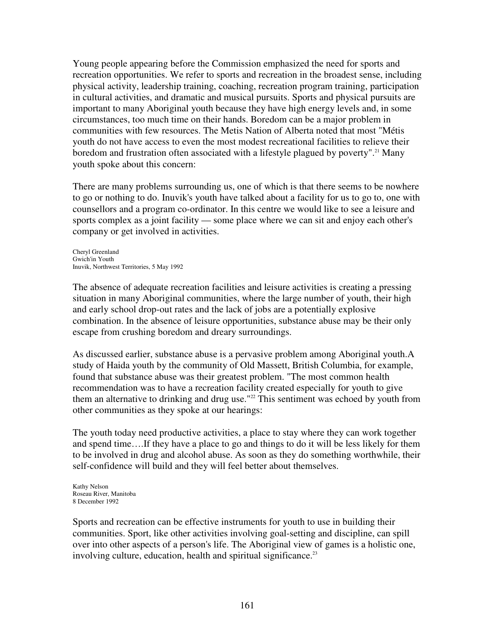Young people appearing before the Commission emphasized the need for sports and recreation opportunities. We refer to sports and recreation in the broadest sense, including physical activity, leadership training, coaching, recreation program training, participation in cultural activities, and dramatic and musical pursuits. Sports and physical pursuits are important to many Aboriginal youth because they have high energy levels and, in some circumstances, too much time on their hands. Boredom can be a major problem in communities with few resources. The Metis Nation of Alberta noted that most "Métis youth do not have access to even the most modest recreational facilities to relieve their boredom and frustration often associated with a lifestyle plagued by poverty".<sup>21</sup> Many youth spoke about this concern:

There are many problems surrounding us, one of which is that there seems to be nowhere to go or nothing to do. Inuvik's youth have talked about a facility for us to go to, one with counsellors and a program co-ordinator. In this centre we would like to see a leisure and sports complex as a joint facility — some place where we can sit and enjoy each other's company or get involved in activities.

Cheryl Greenland Gwich'in Youth Inuvik, Northwest Territories, 5 May 1992

The absence of adequate recreation facilities and leisure activities is creating a pressing situation in many Aboriginal communities, where the large number of youth, their high and early school drop-out rates and the lack of jobs are a potentially explosive combination. In the absence of leisure opportunities, substance abuse may be their only escape from crushing boredom and dreary surroundings.

As discussed earlier, substance abuse is a pervasive problem among Aboriginal youth.A study of Haida youth by the community of Old Massett, British Columbia, for example, found that substance abuse was their greatest problem. "The most common health recommendation was to have a recreation facility created especially for youth to give them an alternative to drinking and drug use." <sup>22</sup> This sentiment was echoed by youth from other communities as they spoke at our hearings:

The youth today need productive activities, a place to stay where they can work together and spend time….If they have a place to go and things to do it will be less likely for them to be involved in drug and alcohol abuse. As soon as they do something worthwhile, their self-confidence will build and they will feel better about themselves.

Kathy Nelson Roseau River, Manitoba 8 December 1992

Sports and recreation can be effective instruments for youth to use in building their communities. Sport, like other activities involving goal-setting and discipline, can spill over into other aspects of a person's life. The Aboriginal view of games is a holistic one, involving culture, education, health and spiritual significance.<sup>23</sup>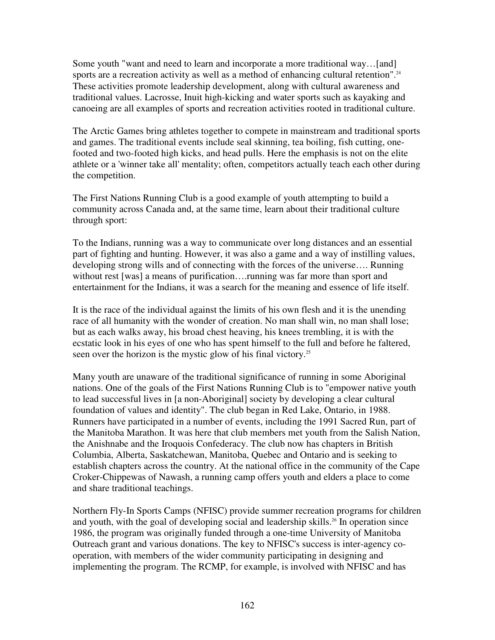Some youth "want and need to learn and incorporate a more traditional way…[and] sports are a recreation activity as well as a method of enhancing cultural retention".<sup>24</sup> These activities promote leadership development, along with cultural awareness and traditional values. Lacrosse, Inuit high-kicking and water sports such as kayaking and canoeing are all examples of sports and recreation activities rooted in traditional culture.

The Arctic Games bring athletes together to compete in mainstream and traditional sports and games. The traditional events include seal skinning, tea boiling, fish cutting, onefooted and two-footed high kicks, and head pulls. Here the emphasis is not on the elite athlete or a 'winner take all' mentality; often, competitors actually teach each other during the competition.

The First Nations Running Club is a good example of youth attempting to build a community across Canada and, at the same time, learn about their traditional culture through sport:

To the Indians, running was a way to communicate over long distances and an essential part of fighting and hunting. However, it was also a game and a way of instilling values, developing strong wills and of connecting with the forces of the universe…. Running without rest [was] a means of purification....running was far more than sport and entertainment for the Indians, it was a search for the meaning and essence of life itself.

It is the race of the individual against the limits of his own flesh and it is the unending race of all humanity with the wonder of creation. No man shall win, no man shall lose; but as each walks away, his broad chest heaving, his knees trembling, it is with the ecstatic look in his eyes of one who has spent himself to the full and before he faltered, seen over the horizon is the mystic glow of his final victory.<sup>25</sup>

Many youth are unaware of the traditional significance of running in some Aboriginal nations. One of the goals of the First Nations Running Club is to "empower native youth to lead successful lives in [a non-Aboriginal] society by developing a clear cultural foundation of values and identity". The club began in Red Lake, Ontario, in 1988. Runners have participated in a number of events, including the 1991 Sacred Run, part of the Manitoba Marathon. It was here that club members met youth from the Salish Nation, the Anishnabe and the Iroquois Confederacy. The club now has chapters in British Columbia, Alberta, Saskatchewan, Manitoba, Quebec and Ontario and is seeking to establish chapters across the country. At the national office in the community of the Cape Croker-Chippewas of Nawash, a running camp offers youth and elders a place to come and share traditional teachings.

Northern Fly-In Sports Camps (NFISC) provide summer recreation programs for children and youth, with the goal of developing social and leadership skills. 26 In operation since 1986, the program was originally funded through a one-time University of Manitoba Outreach grant and various donations. The key to NFISC's success is inter-agency cooperation, with members of the wider community participating in designing and implementing the program. The RCMP, for example, is involved with NFISC and has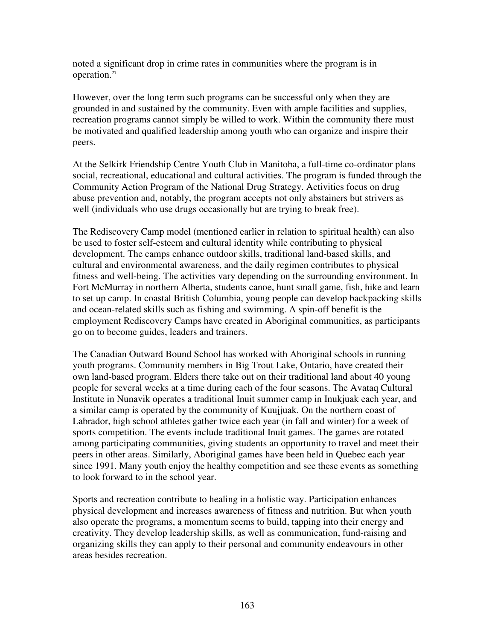noted a significant drop in crime rates in communities where the program is in operation. 27

However, over the long term such programs can be successful only when they are grounded in and sustained by the community. Even with ample facilities and supplies, recreation programs cannot simply be willed to work. Within the community there must be motivated and qualified leadership among youth who can organize and inspire their peers.

At the Selkirk Friendship Centre Youth Club in Manitoba, a full-time co-ordinator plans social, recreational, educational and cultural activities. The program is funded through the Community Action Program of the National Drug Strategy. Activities focus on drug abuse prevention and, notably, the program accepts not only abstainers but strivers as well (individuals who use drugs occasionally but are trying to break free).

The Rediscovery Camp model (mentioned earlier in relation to spiritual health) can also be used to foster self-esteem and cultural identity while contributing to physical development. The camps enhance outdoor skills, traditional land-based skills, and cultural and environmental awareness, and the daily regimen contributes to physical fitness and well-being. The activities vary depending on the surrounding environment. In Fort McMurray in northern Alberta, students canoe, hunt small game, fish, hike and learn to set up camp. In coastal British Columbia, young people can develop backpacking skills and ocean-related skills such as fishing and swimming. A spin-off benefit is the employment Rediscovery Camps have created in Aboriginal communities, as participants go on to become guides, leaders and trainers.

The Canadian Outward Bound School has worked with Aboriginal schools in running youth programs. Community members in Big Trout Lake, Ontario, have created their own land-based program. Elders there take out on their traditional land about 40 young people for several weeks at a time during each of the four seasons. The Avataq Cultural Institute in Nunavik operates a traditional Inuit summer camp in Inukjuak each year, and a similar camp is operated by the community of Kuujjuak. On the northern coast of Labrador, high school athletes gather twice each year (in fall and winter) for a week of sports competition. The events include traditional Inuit games. The games are rotated among participating communities, giving students an opportunity to travel and meet their peers in other areas. Similarly, Aboriginal games have been held in Quebec each year since 1991. Many youth enjoy the healthy competition and see these events as something to look forward to in the school year.

Sports and recreation contribute to healing in a holistic way. Participation enhances physical development and increases awareness of fitness and nutrition. But when youth also operate the programs, a momentum seems to build, tapping into their energy and creativity. They develop leadership skills, as well as communication, fund-raising and organizing skills they can apply to their personal and community endeavours in other areas besides recreation.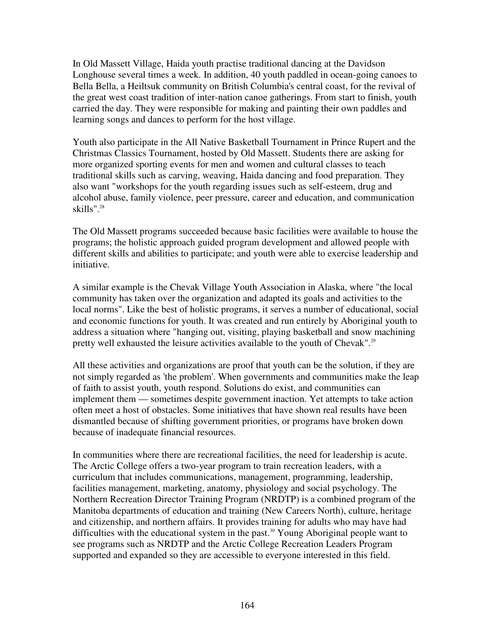In Old Massett Village, Haida youth practise traditional dancing at the Davidson Longhouse several times a week. In addition, 40 youth paddled in ocean-going canoes to Bella Bella, a Heiltsuk community on British Columbia's central coast, for the revival of the great west coast tradition of inter-nation canoe gatherings. From start to finish, youth carried the day. They were responsible for making and painting their own paddles and learning songs and dances to perform for the host village.

Youth also participate in the All Native Basketball Tournament in Prince Rupert and the Christmas Classics Tournament, hosted by Old Massett. Students there are asking for more organized sporting events for men and women and cultural classes to teach traditional skills such as carving, weaving, Haida dancing and food preparation. They also want "workshops for the youth regarding issues such as self-esteem, drug and alcohol abuse, family violence, peer pressure, career and education, and communication skills". 28

The Old Massett programs succeeded because basic facilities were available to house the programs; the holistic approach guided program development and allowed people with different skills and abilities to participate; and youth were able to exercise leadership and initiative.

A similar example is the Chevak Village Youth Association in Alaska, where "the local community has taken over the organization and adapted its goals and activities to the local norms". Like the best of holistic programs, it serves a number of educational, social and economic functions for youth. It was created and run entirely by Aboriginal youth to address a situation where "hanging out, visiting, playing basketball and snow machining pretty well exhausted the leisure activities available to the youth of Chevak".<sup>29</sup>

All these activities and organizations are proof that youth can be the solution, if they are not simply regarded as 'the problem'. When governments and communities make the leap of faith to assist youth, youth respond. Solutions do exist, and communities can implement them — sometimes despite government inaction. Yet attempts to take action often meet a host of obstacles. Some initiatives that have shown real results have been dismantled because of shifting government priorities, or programs have broken down because of inadequate financial resources.

In communities where there are recreational facilities, the need for leadership is acute. The Arctic College offers a two-year program to train recreation leaders, with a curriculum that includes communications, management, programming, leadership, facilities management, marketing, anatomy, physiology and social psychology. The Northern Recreation Director Training Program (NRDTP) is a combined program of the Manitoba departments of education and training (New Careers North), culture, heritage and citizenship, and northern affairs. It provides training for adults who may have had difficulties with the educational system in the past. <sup>30</sup> Young Aboriginal people want to see programs such as NRDTP and the Arctic College Recreation Leaders Program supported and expanded so they are accessible to everyone interested in this field.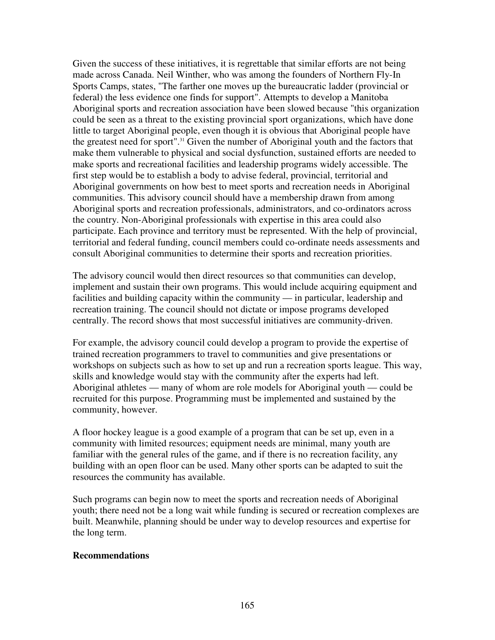Given the success of these initiatives, it is regrettable that similar efforts are not being made across Canada. Neil Winther, who was among the founders of Northern Fly-In Sports Camps, states, "The farther one moves up the bureaucratic ladder (provincial or federal) the less evidence one finds for support". Attempts to develop a Manitoba Aboriginal sports and recreation association have been slowed because "this organization could be seen as a threat to the existing provincial sport organizations, which have done little to target Aboriginal people, even though it is obvious that Aboriginal people have the greatest need for sport". <sup>31</sup> Given the number of Aboriginal youth and the factors that make them vulnerable to physical and social dysfunction, sustained efforts are needed to make sports and recreational facilities and leadership programs widely accessible. The first step would be to establish a body to advise federal, provincial, territorial and Aboriginal governments on how best to meet sports and recreation needs in Aboriginal communities. This advisory council should have a membership drawn from among Aboriginal sports and recreation professionals, administrators, and co-ordinators across the country. Non-Aboriginal professionals with expertise in this area could also participate. Each province and territory must be represented. With the help of provincial, territorial and federal funding, council members could co-ordinate needs assessments and consult Aboriginal communities to determine their sports and recreation priorities.

The advisory council would then direct resources so that communities can develop, implement and sustain their own programs. This would include acquiring equipment and facilities and building capacity within the community — in particular, leadership and recreation training. The council should not dictate or impose programs developed centrally. The record shows that most successful initiatives are community-driven.

For example, the advisory council could develop a program to provide the expertise of trained recreation programmers to travel to communities and give presentations or workshops on subjects such as how to set up and run a recreation sports league. This way, skills and knowledge would stay with the community after the experts had left. Aboriginal athletes — many of whom are role models for Aboriginal youth — could be recruited for this purpose. Programming must be implemented and sustained by the community, however.

A floor hockey league is a good example of a program that can be set up, even in a community with limited resources; equipment needs are minimal, many youth are familiar with the general rules of the game, and if there is no recreation facility, any building with an open floor can be used. Many other sports can be adapted to suit the resources the community has available.

Such programs can begin now to meet the sports and recreation needs of Aboriginal youth; there need not be a long wait while funding is secured or recreation complexes are built. Meanwhile, planning should be under way to develop resources and expertise for the long term.

#### **Recommendations**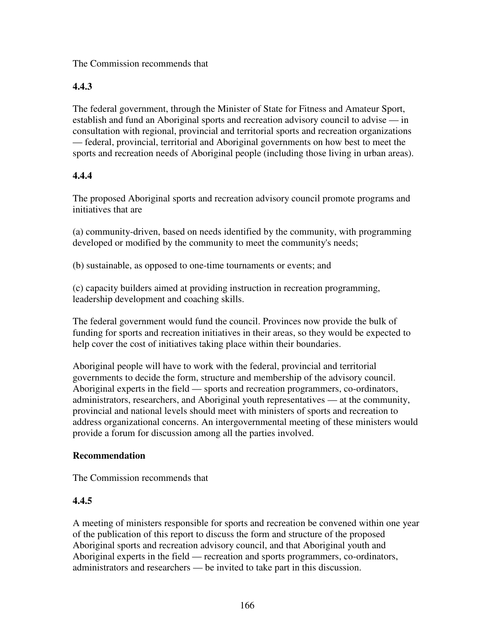The Commission recommends that

## **4.4.3**

The federal government, through the Minister of State for Fitness and Amateur Sport, establish and fund an Aboriginal sports and recreation advisory council to advise — in consultation with regional, provincial and territorial sports and recreation organizations — federal, provincial, territorial and Aboriginal governments on how best to meet the sports and recreation needs of Aboriginal people (including those living in urban areas).

## **4.4.4**

The proposed Aboriginal sports and recreation advisory council promote programs and initiatives that are

(a) community-driven, based on needs identified by the community, with programming developed or modified by the community to meet the community's needs;

(b) sustainable, as opposed to one-time tournaments or events; and

(c) capacity builders aimed at providing instruction in recreation programming, leadership development and coaching skills.

The federal government would fund the council. Provinces now provide the bulk of funding for sports and recreation initiatives in their areas, so they would be expected to help cover the cost of initiatives taking place within their boundaries.

Aboriginal people will have to work with the federal, provincial and territorial governments to decide the form, structure and membership of the advisory council. Aboriginal experts in the field — sports and recreation programmers, co-ordinators, administrators, researchers, and Aboriginal youth representatives — at the community, provincial and national levels should meet with ministers of sports and recreation to address organizational concerns. An intergovernmental meeting of these ministers would provide a forum for discussion among all the parties involved.

#### **Recommendation**

The Commission recommends that

## **4.4.5**

A meeting of ministers responsible for sports and recreation be convened within one year of the publication of this report to discuss the form and structure of the proposed Aboriginal sports and recreation advisory council, and that Aboriginal youth and Aboriginal experts in the field — recreation and sports programmers, co-ordinators, administrators and researchers — be invited to take part in this discussion.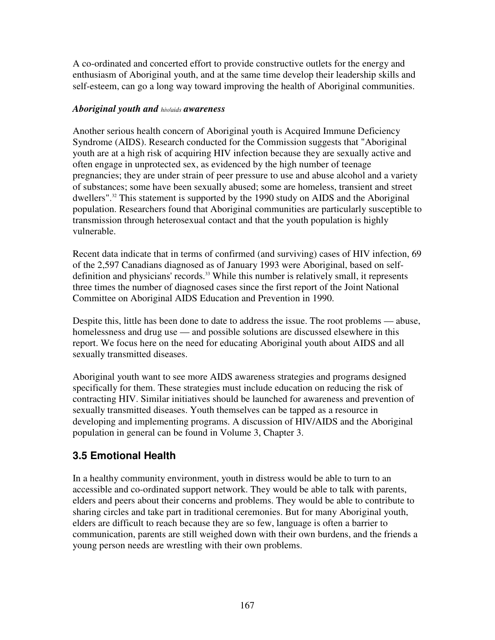A co-ordinated and concerted effort to provide constructive outlets for the energy and enthusiasm of Aboriginal youth, and at the same time develop their leadership skills and self-esteem, can go a long way toward improving the health of Aboriginal communities.

#### *Aboriginal youth and hiv/aids awareness*

Another serious health concern of Aboriginal youth is Acquired Immune Deficiency Syndrome (AIDS). Research conducted for the Commission suggests that "Aboriginal youth are at a high risk of acquiring HIV infection because they are sexually active and often engage in unprotected sex, as evidenced by the high number of teenage pregnancies; they are under strain of peer pressure to use and abuse alcohol and a variety of substances; some have been sexually abused; some are homeless, transient and street dwellers". <sup>32</sup> This statement is supported by the 1990 study on AIDS and the Aboriginal population. Researchers found that Aboriginal communities are particularly susceptible to transmission through heterosexual contact and that the youth population is highly vulnerable.

Recent data indicate that in terms of confirmed (and surviving) cases of HIV infection, 69 of the 2,597 Canadians diagnosed as of January 1993 were Aboriginal, based on selfdefinition and physicians' records. <sup>33</sup> While this number is relatively small, it represents three times the number of diagnosed cases since the first report of the Joint National Committee on Aboriginal AIDS Education and Prevention in 1990.

Despite this, little has been done to date to address the issue. The root problems — abuse, homelessness and drug use — and possible solutions are discussed elsewhere in this report. We focus here on the need for educating Aboriginal youth about AIDS and all sexually transmitted diseases.

Aboriginal youth want to see more AIDS awareness strategies and programs designed specifically for them. These strategies must include education on reducing the risk of contracting HIV. Similar initiatives should be launched for awareness and prevention of sexually transmitted diseases. Youth themselves can be tapped as a resource in developing and implementing programs. A discussion of HIV/AIDS and the Aboriginal population in general can be found in Volume 3, Chapter 3.

# **3.5 Emotional Health**

In a healthy community environment, youth in distress would be able to turn to an accessible and co-ordinated support network. They would be able to talk with parents, elders and peers about their concerns and problems. They would be able to contribute to sharing circles and take part in traditional ceremonies. But for many Aboriginal youth, elders are difficult to reach because they are so few, language is often a barrier to communication, parents are still weighed down with their own burdens, and the friends a young person needs are wrestling with their own problems.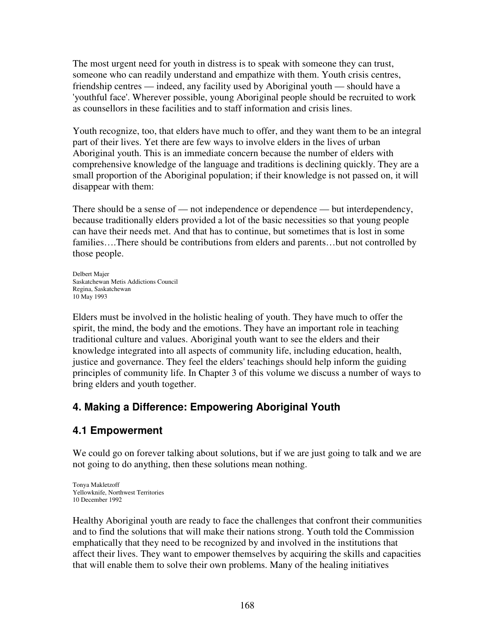The most urgent need for youth in distress is to speak with someone they can trust, someone who can readily understand and empathize with them. Youth crisis centres, friendship centres — indeed, any facility used by Aboriginal youth — should have a 'youthful face'. Wherever possible, young Aboriginal people should be recruited to work as counsellors in these facilities and to staff information and crisis lines.

Youth recognize, too, that elders have much to offer, and they want them to be an integral part of their lives. Yet there are few ways to involve elders in the lives of urban Aboriginal youth. This is an immediate concern because the number of elders with comprehensive knowledge of the language and traditions is declining quickly. They are a small proportion of the Aboriginal population; if their knowledge is not passed on, it will disappear with them:

There should be a sense of — not independence or dependence — but interdependency, because traditionally elders provided a lot of the basic necessities so that young people can have their needs met. And that has to continue, but sometimes that is lost in some families….There should be contributions from elders and parents…but not controlled by those people.

Delbert Majer Saskatchewan Metis Addictions Council Regina, Saskatchewan 10 May 1993

Elders must be involved in the holistic healing of youth. They have much to offer the spirit, the mind, the body and the emotions. They have an important role in teaching traditional culture and values. Aboriginal youth want to see the elders and their knowledge integrated into all aspects of community life, including education, health, justice and governance. They feel the elders' teachings should help inform the guiding principles of community life. In Chapter 3 of this volume we discuss a number of ways to bring elders and youth together.

# **4. Making a Difference: Empowering Aboriginal Youth**

## **4.1 Empowerment**

We could go on forever talking about solutions, but if we are just going to talk and we are not going to do anything, then these solutions mean nothing.

Tonya Makletzoff Yellowknife, Northwest Territories 10 December 1992

Healthy Aboriginal youth are ready to face the challenges that confront their communities and to find the solutions that will make their nations strong. Youth told the Commission emphatically that they need to be recognized by and involved in the institutions that affect their lives. They want to empower themselves by acquiring the skills and capacities that will enable them to solve their own problems. Many of the healing initiatives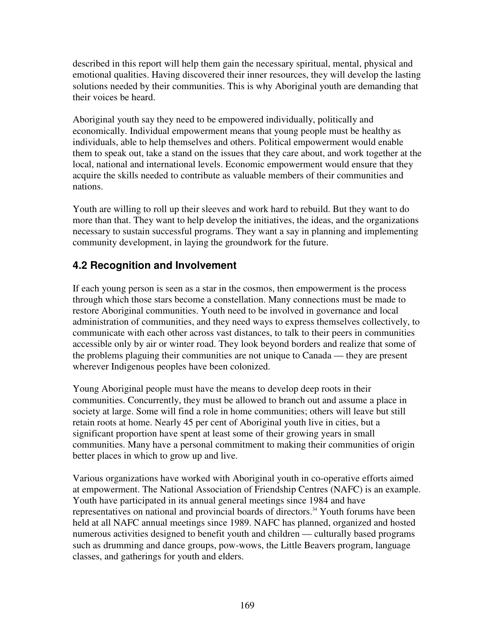described in this report will help them gain the necessary spiritual, mental, physical and emotional qualities. Having discovered their inner resources, they will develop the lasting solutions needed by their communities. This is why Aboriginal youth are demanding that their voices be heard.

Aboriginal youth say they need to be empowered individually, politically and economically. Individual empowerment means that young people must be healthy as individuals, able to help themselves and others. Political empowerment would enable them to speak out, take a stand on the issues that they care about, and work together at the local, national and international levels. Economic empowerment would ensure that they acquire the skills needed to contribute as valuable members of their communities and nations.

Youth are willing to roll up their sleeves and work hard to rebuild. But they want to do more than that. They want to help develop the initiatives, the ideas, and the organizations necessary to sustain successful programs. They want a say in planning and implementing community development, in laying the groundwork for the future.

# **4.2 Recognition and Involvement**

If each young person is seen as a star in the cosmos, then empowerment is the process through which those stars become a constellation. Many connections must be made to restore Aboriginal communities. Youth need to be involved in governance and local administration of communities, and they need ways to express themselves collectively, to communicate with each other across vast distances, to talk to their peers in communities accessible only by air or winter road. They look beyond borders and realize that some of the problems plaguing their communities are not unique to Canada — they are present wherever Indigenous peoples have been colonized.

Young Aboriginal people must have the means to develop deep roots in their communities. Concurrently, they must be allowed to branch out and assume a place in society at large. Some will find a role in home communities; others will leave but still retain roots at home. Nearly 45 per cent of Aboriginal youth live in cities, but a significant proportion have spent at least some of their growing years in small communities. Many have a personal commitment to making their communities of origin better places in which to grow up and live.

Various organizations have worked with Aboriginal youth in co-operative efforts aimed at empowerment. The National Association of Friendship Centres (NAFC) is an example. Youth have participated in its annual general meetings since 1984 and have representatives on national and provincial boards of directors. <sup>34</sup> Youth forums have been held at all NAFC annual meetings since 1989. NAFC has planned, organized and hosted numerous activities designed to benefit youth and children — culturally based programs such as drumming and dance groups, pow-wows, the Little Beavers program, language classes, and gatherings for youth and elders.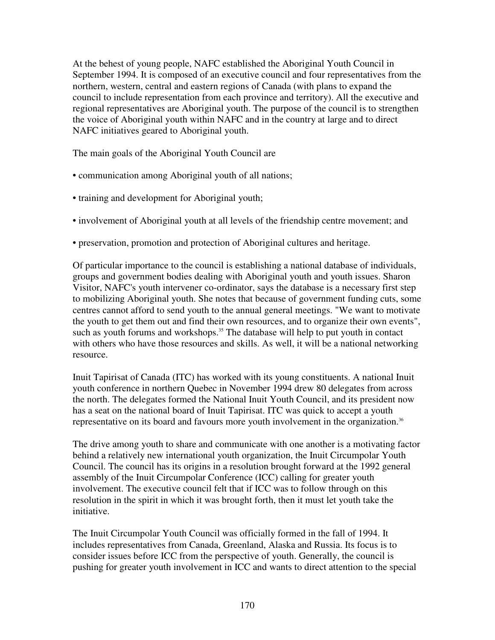At the behest of young people, NAFC established the Aboriginal Youth Council in September 1994. It is composed of an executive council and four representatives from the northern, western, central and eastern regions of Canada (with plans to expand the council to include representation from each province and territory). All the executive and regional representatives are Aboriginal youth. The purpose of the council is to strengthen the voice of Aboriginal youth within NAFC and in the country at large and to direct NAFC initiatives geared to Aboriginal youth.

The main goals of the Aboriginal Youth Council are

- communication among Aboriginal youth of all nations;
- training and development for Aboriginal youth;
- involvement of Aboriginal youth at all levels of the friendship centre movement; and
- preservation, promotion and protection of Aboriginal cultures and heritage.

Of particular importance to the council is establishing a national database of individuals, groups and government bodies dealing with Aboriginal youth and youth issues. Sharon Visitor, NAFC's youth intervener co-ordinator, says the database is a necessary first step to mobilizing Aboriginal youth. She notes that because of government funding cuts, some centres cannot afford to send youth to the annual general meetings. "We want to motivate the youth to get them out and find their own resources, and to organize their own events", such as youth forums and workshops. <sup>35</sup> The database will help to put youth in contact with others who have those resources and skills. As well, it will be a national networking resource.

Inuit Tapirisat of Canada (ITC) has worked with its young constituents. A national Inuit youth conference in northern Quebec in November 1994 drew 80 delegates from across the north. The delegates formed the National Inuit Youth Council, and its president now has a seat on the national board of Inuit Tapirisat. ITC was quick to accept a youth representative on its board and favours more youth involvement in the organization. 36

The drive among youth to share and communicate with one another is a motivating factor behind a relatively new international youth organization, the Inuit Circumpolar Youth Council. The council has its origins in a resolution brought forward at the 1992 general assembly of the Inuit Circumpolar Conference (ICC) calling for greater youth involvement. The executive council felt that if ICC was to follow through on this resolution in the spirit in which it was brought forth, then it must let youth take the initiative.

The Inuit Circumpolar Youth Council was officially formed in the fall of 1994. It includes representatives from Canada, Greenland, Alaska and Russia. Its focus is to consider issues before ICC from the perspective of youth. Generally, the council is pushing for greater youth involvement in ICC and wants to direct attention to the special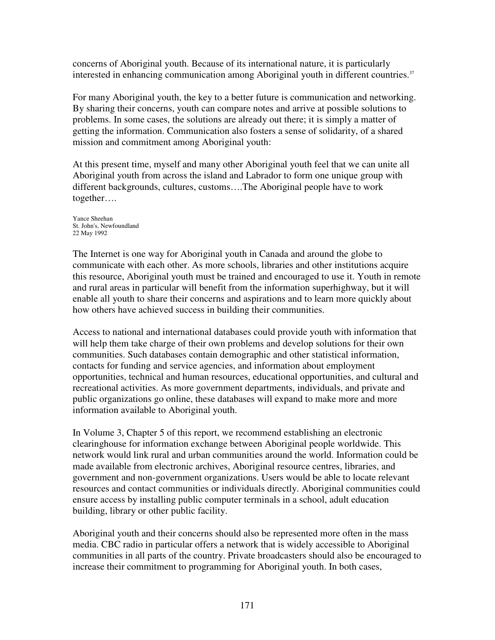concerns of Aboriginal youth. Because of its international nature, it is particularly interested in enhancing communication among Aboriginal youth in different countries.<sup>37</sup>

For many Aboriginal youth, the key to a better future is communication and networking. By sharing their concerns, youth can compare notes and arrive at possible solutions to problems. In some cases, the solutions are already out there; it is simply a matter of getting the information. Communication also fosters a sense of solidarity, of a shared mission and commitment among Aboriginal youth:

At this present time, myself and many other Aboriginal youth feel that we can unite all Aboriginal youth from across the island and Labrador to form one unique group with different backgrounds, cultures, customs….The Aboriginal people have to work together….

Yance Sheehan St. John's, Newfoundland 22 May 1992

The Internet is one way for Aboriginal youth in Canada and around the globe to communicate with each other. As more schools, libraries and other institutions acquire this resource, Aboriginal youth must be trained and encouraged to use it. Youth in remote and rural areas in particular will benefit from the information superhighway, but it will enable all youth to share their concerns and aspirations and to learn more quickly about how others have achieved success in building their communities.

Access to national and international databases could provide youth with information that will help them take charge of their own problems and develop solutions for their own communities. Such databases contain demographic and other statistical information, contacts for funding and service agencies, and information about employment opportunities, technical and human resources, educational opportunities, and cultural and recreational activities. As more government departments, individuals, and private and public organizations go online, these databases will expand to make more and more information available to Aboriginal youth.

In Volume 3, Chapter 5 of this report, we recommend establishing an electronic clearinghouse for information exchange between Aboriginal people worldwide. This network would link rural and urban communities around the world. Information could be made available from electronic archives, Aboriginal resource centres, libraries, and government and non-government organizations. Users would be able to locate relevant resources and contact communities or individuals directly. Aboriginal communities could ensure access by installing public computer terminals in a school, adult education building, library or other public facility.

Aboriginal youth and their concerns should also be represented more often in the mass media. CBC radio in particular offers a network that is widely accessible to Aboriginal communities in all parts of the country. Private broadcasters should also be encouraged to increase their commitment to programming for Aboriginal youth. In both cases,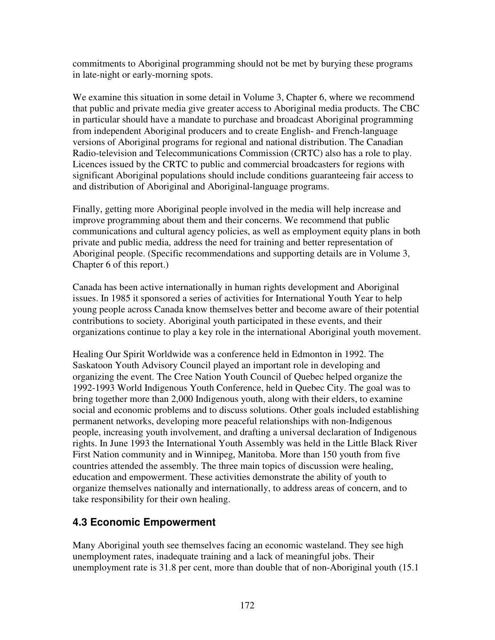commitments to Aboriginal programming should not be met by burying these programs in late-night or early-morning spots.

We examine this situation in some detail in Volume 3, Chapter 6, where we recommend that public and private media give greater access to Aboriginal media products. The CBC in particular should have a mandate to purchase and broadcast Aboriginal programming from independent Aboriginal producers and to create English- and French-language versions of Aboriginal programs for regional and national distribution. The Canadian Radio-television and Telecommunications Commission (CRTC) also has a role to play. Licences issued by the CRTC to public and commercial broadcasters for regions with significant Aboriginal populations should include conditions guaranteeing fair access to and distribution of Aboriginal and Aboriginal-language programs.

Finally, getting more Aboriginal people involved in the media will help increase and improve programming about them and their concerns. We recommend that public communications and cultural agency policies, as well as employment equity plans in both private and public media, address the need for training and better representation of Aboriginal people. (Specific recommendations and supporting details are in Volume 3, Chapter 6 of this report.)

Canada has been active internationally in human rights development and Aboriginal issues. In 1985 it sponsored a series of activities for International Youth Year to help young people across Canada know themselves better and become aware of their potential contributions to society. Aboriginal youth participated in these events, and their organizations continue to play a key role in the international Aboriginal youth movement.

Healing Our Spirit Worldwide was a conference held in Edmonton in 1992. The Saskatoon Youth Advisory Council played an important role in developing and organizing the event. The Cree Nation Youth Council of Quebec helped organize the 1992-1993 World Indigenous Youth Conference, held in Quebec City. The goal was to bring together more than 2,000 Indigenous youth, along with their elders, to examine social and economic problems and to discuss solutions. Other goals included establishing permanent networks, developing more peaceful relationships with non-Indigenous people, increasing youth involvement, and drafting a universal declaration of Indigenous rights. In June 1993 the International Youth Assembly was held in the Little Black River First Nation community and in Winnipeg, Manitoba. More than 150 youth from five countries attended the assembly. The three main topics of discussion were healing, education and empowerment. These activities demonstrate the ability of youth to organize themselves nationally and internationally, to address areas of concern, and to take responsibility for their own healing.

# **4.3 Economic Empowerment**

Many Aboriginal youth see themselves facing an economic wasteland. They see high unemployment rates, inadequate training and a lack of meaningful jobs. Their unemployment rate is 31.8 per cent, more than double that of non-Aboriginal youth (15.1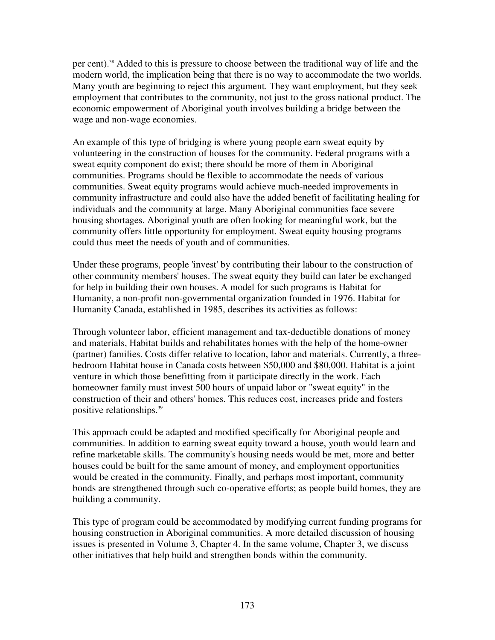per cent). <sup>38</sup> Added to this is pressure to choose between the traditional way of life and the modern world, the implication being that there is no way to accommodate the two worlds. Many youth are beginning to reject this argument. They want employment, but they seek employment that contributes to the community, not just to the gross national product. The economic empowerment of Aboriginal youth involves building a bridge between the wage and non-wage economies.

An example of this type of bridging is where young people earn sweat equity by volunteering in the construction of houses for the community. Federal programs with a sweat equity component do exist; there should be more of them in Aboriginal communities. Programs should be flexible to accommodate the needs of various communities. Sweat equity programs would achieve much-needed improvements in community infrastructure and could also have the added benefit of facilitating healing for individuals and the community at large. Many Aboriginal communities face severe housing shortages. Aboriginal youth are often looking for meaningful work, but the community offers little opportunity for employment. Sweat equity housing programs could thus meet the needs of youth and of communities.

Under these programs, people 'invest' by contributing their labour to the construction of other community members' houses. The sweat equity they build can later be exchanged for help in building their own houses. A model for such programs is Habitat for Humanity, a non-profit non-governmental organization founded in 1976. Habitat for Humanity Canada, established in 1985, describes its activities as follows:

Through volunteer labor, efficient management and tax-deductible donations of money and materials, Habitat builds and rehabilitates homes with the help of the home-owner (partner) families. Costs differ relative to location, labor and materials. Currently, a threebedroom Habitat house in Canada costs between \$50,000 and \$80,000. Habitat is a joint venture in which those benefitting from it participate directly in the work. Each homeowner family must invest 500 hours of unpaid labor or "sweat equity" in the construction of their and others' homes. This reduces cost, increases pride and fosters positive relationships. 39

This approach could be adapted and modified specifically for Aboriginal people and communities. In addition to earning sweat equity toward a house, youth would learn and refine marketable skills. The community's housing needs would be met, more and better houses could be built for the same amount of money, and employment opportunities would be created in the community. Finally, and perhaps most important, community bonds are strengthened through such co-operative efforts; as people build homes, they are building a community.

This type of program could be accommodated by modifying current funding programs for housing construction in Aboriginal communities. A more detailed discussion of housing issues is presented in Volume 3, Chapter 4. In the same volume, Chapter 3, we discuss other initiatives that help build and strengthen bonds within the community.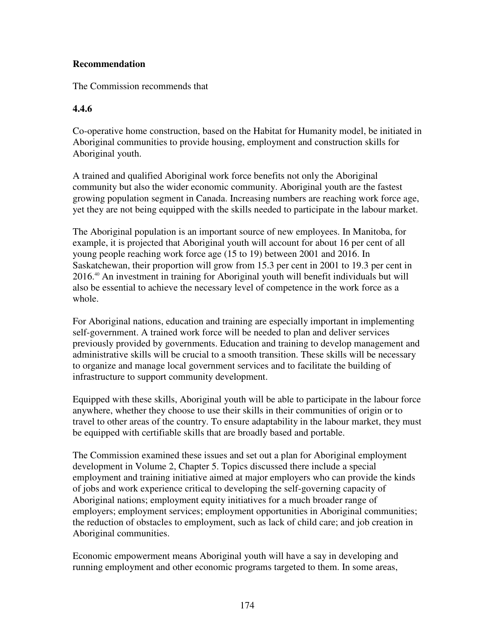#### **Recommendation**

The Commission recommends that

#### **4.4.6**

Co-operative home construction, based on the Habitat for Humanity model, be initiated in Aboriginal communities to provide housing, employment and construction skills for Aboriginal youth.

A trained and qualified Aboriginal work force benefits not only the Aboriginal community but also the wider economic community. Aboriginal youth are the fastest growing population segment in Canada. Increasing numbers are reaching work force age, yet they are not being equipped with the skills needed to participate in the labour market.

The Aboriginal population is an important source of new employees. In Manitoba, for example, it is projected that Aboriginal youth will account for about 16 per cent of all young people reaching work force age (15 to 19) between 2001 and 2016. In Saskatchewan, their proportion will grow from 15.3 per cent in 2001 to 19.3 per cent in 2016. <sup>40</sup> An investment in training for Aboriginal youth will benefit individuals but will also be essential to achieve the necessary level of competence in the work force as a whole.

For Aboriginal nations, education and training are especially important in implementing self-government. A trained work force will be needed to plan and deliver services previously provided by governments. Education and training to develop management and administrative skills will be crucial to a smooth transition. These skills will be necessary to organize and manage local government services and to facilitate the building of infrastructure to support community development.

Equipped with these skills, Aboriginal youth will be able to participate in the labour force anywhere, whether they choose to use their skills in their communities of origin or to travel to other areas of the country. To ensure adaptability in the labour market, they must be equipped with certifiable skills that are broadly based and portable.

The Commission examined these issues and set out a plan for Aboriginal employment development in Volume 2, Chapter 5. Topics discussed there include a special employment and training initiative aimed at major employers who can provide the kinds of jobs and work experience critical to developing the self-governing capacity of Aboriginal nations; employment equity initiatives for a much broader range of employers; employment services; employment opportunities in Aboriginal communities; the reduction of obstacles to employment, such as lack of child care; and job creation in Aboriginal communities.

Economic empowerment means Aboriginal youth will have a say in developing and running employment and other economic programs targeted to them. In some areas,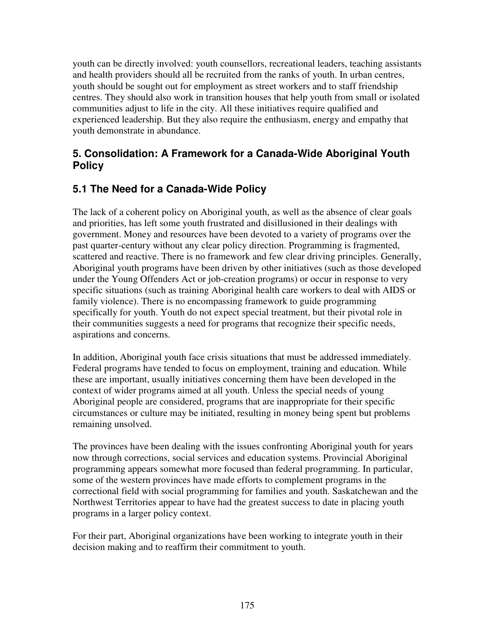youth can be directly involved: youth counsellors, recreational leaders, teaching assistants and health providers should all be recruited from the ranks of youth. In urban centres, youth should be sought out for employment as street workers and to staff friendship centres. They should also work in transition houses that help youth from small or isolated communities adjust to life in the city. All these initiatives require qualified and experienced leadership. But they also require the enthusiasm, energy and empathy that youth demonstrate in abundance.

## **5. Consolidation: A Framework for a Canada-Wide Aboriginal Youth Policy**

# **5.1 The Need for a Canada-Wide Policy**

The lack of a coherent policy on Aboriginal youth, as well as the absence of clear goals and priorities, has left some youth frustrated and disillusioned in their dealings with government. Money and resources have been devoted to a variety of programs over the past quarter-century without any clear policy direction. Programming is fragmented, scattered and reactive. There is no framework and few clear driving principles. Generally, Aboriginal youth programs have been driven by other initiatives (such as those developed under the Young Offenders Act or job-creation programs) or occur in response to very specific situations (such as training Aboriginal health care workers to deal with AIDS or family violence). There is no encompassing framework to guide programming specifically for youth. Youth do not expect special treatment, but their pivotal role in their communities suggests a need for programs that recognize their specific needs, aspirations and concerns.

In addition, Aboriginal youth face crisis situations that must be addressed immediately. Federal programs have tended to focus on employment, training and education. While these are important, usually initiatives concerning them have been developed in the context of wider programs aimed at all youth. Unless the special needs of young Aboriginal people are considered, programs that are inappropriate for their specific circumstances or culture may be initiated, resulting in money being spent but problems remaining unsolved.

The provinces have been dealing with the issues confronting Aboriginal youth for years now through corrections, social services and education systems. Provincial Aboriginal programming appears somewhat more focused than federal programming. In particular, some of the western provinces have made efforts to complement programs in the correctional field with social programming for families and youth. Saskatchewan and the Northwest Territories appear to have had the greatest success to date in placing youth programs in a larger policy context.

For their part, Aboriginal organizations have been working to integrate youth in their decision making and to reaffirm their commitment to youth.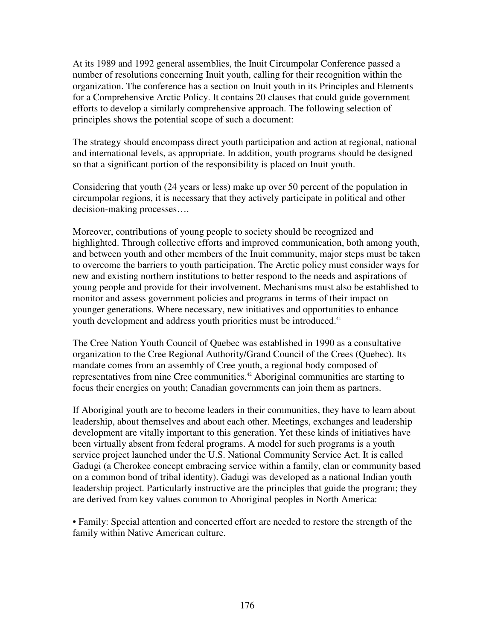At its 1989 and 1992 general assemblies, the Inuit Circumpolar Conference passed a number of resolutions concerning Inuit youth, calling for their recognition within the organization. The conference has a section on Inuit youth in its Principles and Elements for a Comprehensive Arctic Policy. It contains 20 clauses that could guide government efforts to develop a similarly comprehensive approach. The following selection of principles shows the potential scope of such a document:

The strategy should encompass direct youth participation and action at regional, national and international levels, as appropriate. In addition, youth programs should be designed so that a significant portion of the responsibility is placed on Inuit youth.

Considering that youth (24 years or less) make up over 50 percent of the population in circumpolar regions, it is necessary that they actively participate in political and other decision-making processes….

Moreover, contributions of young people to society should be recognized and highlighted. Through collective efforts and improved communication, both among youth, and between youth and other members of the Inuit community, major steps must be taken to overcome the barriers to youth participation. The Arctic policy must consider ways for new and existing northern institutions to better respond to the needs and aspirations of young people and provide for their involvement. Mechanisms must also be established to monitor and assess government policies and programs in terms of their impact on younger generations. Where necessary, new initiatives and opportunities to enhance youth development and address youth priorities must be introduced.<sup>41</sup>

The Cree Nation Youth Council of Quebec was established in 1990 as a consultative organization to the Cree Regional Authority/Grand Council of the Crees (Quebec). Its mandate comes from an assembly of Cree youth, a regional body composed of representatives from nine Cree communities. <sup>42</sup> Aboriginal communities are starting to focus their energies on youth; Canadian governments can join them as partners.

If Aboriginal youth are to become leaders in their communities, they have to learn about leadership, about themselves and about each other. Meetings, exchanges and leadership development are vitally important to this generation. Yet these kinds of initiatives have been virtually absent from federal programs. A model for such programs is a youth service project launched under the U.S. National Community Service Act. It is called Gadugi (a Cherokee concept embracing service within a family, clan or community based on a common bond of tribal identity). Gadugi was developed as a national Indian youth leadership project. Particularly instructive are the principles that guide the program; they are derived from key values common to Aboriginal peoples in North America:

• Family: Special attention and concerted effort are needed to restore the strength of the family within Native American culture.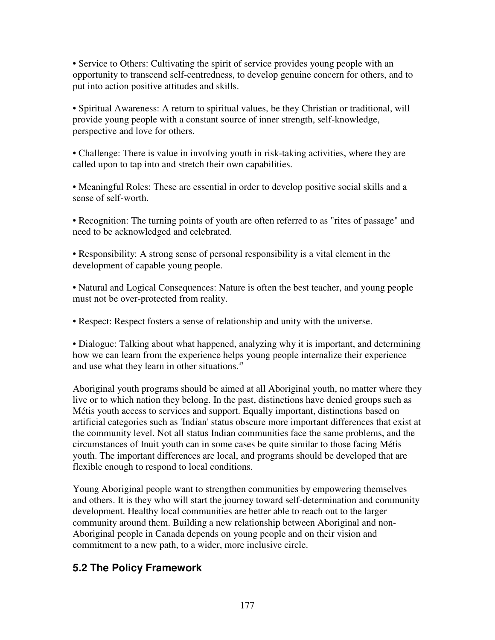• Service to Others: Cultivating the spirit of service provides young people with an opportunity to transcend self-centredness, to develop genuine concern for others, and to put into action positive attitudes and skills.

• Spiritual Awareness: A return to spiritual values, be they Christian or traditional, will provide young people with a constant source of inner strength, self-knowledge, perspective and love for others.

• Challenge: There is value in involving youth in risk-taking activities, where they are called upon to tap into and stretch their own capabilities.

• Meaningful Roles: These are essential in order to develop positive social skills and a sense of self-worth.

• Recognition: The turning points of youth are often referred to as "rites of passage" and need to be acknowledged and celebrated.

• Responsibility: A strong sense of personal responsibility is a vital element in the development of capable young people.

• Natural and Logical Consequences: Nature is often the best teacher, and young people must not be over-protected from reality.

• Respect: Respect fosters a sense of relationship and unity with the universe.

• Dialogue: Talking about what happened, analyzing why it is important, and determining how we can learn from the experience helps young people internalize their experience and use what they learn in other situations.<sup>43</sup>

Aboriginal youth programs should be aimed at all Aboriginal youth, no matter where they live or to which nation they belong. In the past, distinctions have denied groups such as Métis youth access to services and support. Equally important, distinctions based on artificial categories such as 'Indian' status obscure more important differences that exist at the community level. Not all status Indian communities face the same problems, and the circumstances of Inuit youth can in some cases be quite similar to those facing Métis youth. The important differences are local, and programs should be developed that are flexible enough to respond to local conditions.

Young Aboriginal people want to strengthen communities by empowering themselves and others. It is they who will start the journey toward self-determination and community development. Healthy local communities are better able to reach out to the larger community around them. Building a new relationship between Aboriginal and non-Aboriginal people in Canada depends on young people and on their vision and commitment to a new path, to a wider, more inclusive circle.

# **5.2 The Policy Framework**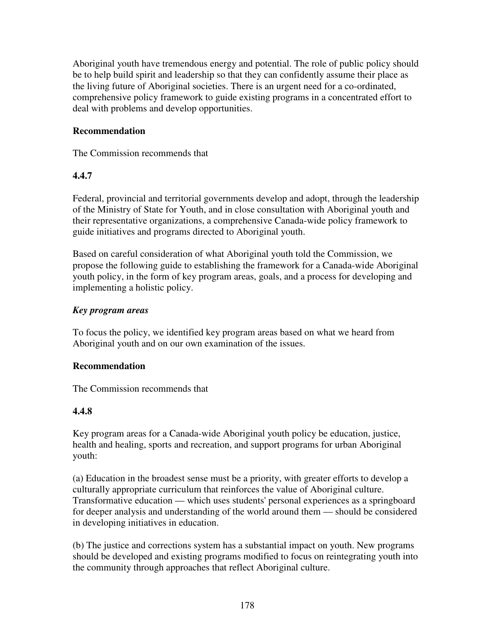Aboriginal youth have tremendous energy and potential. The role of public policy should be to help build spirit and leadership so that they can confidently assume their place as the living future of Aboriginal societies. There is an urgent need for a co-ordinated, comprehensive policy framework to guide existing programs in a concentrated effort to deal with problems and develop opportunities.

#### **Recommendation**

The Commission recommends that

#### **4.4.7**

Federal, provincial and territorial governments develop and adopt, through the leadership of the Ministry of State for Youth, and in close consultation with Aboriginal youth and their representative organizations, a comprehensive Canada-wide policy framework to guide initiatives and programs directed to Aboriginal youth.

Based on careful consideration of what Aboriginal youth told the Commission, we propose the following guide to establishing the framework for a Canada-wide Aboriginal youth policy, in the form of key program areas, goals, and a process for developing and implementing a holistic policy.

#### *Key program areas*

To focus the policy, we identified key program areas based on what we heard from Aboriginal youth and on our own examination of the issues.

#### **Recommendation**

The Commission recommends that

#### **4.4.8**

Key program areas for a Canada-wide Aboriginal youth policy be education, justice, health and healing, sports and recreation, and support programs for urban Aboriginal youth:

(a) Education in the broadest sense must be a priority, with greater efforts to develop a culturally appropriate curriculum that reinforces the value of Aboriginal culture. Transformative education — which uses students' personal experiences as a springboard for deeper analysis and understanding of the world around them — should be considered in developing initiatives in education.

(b) The justice and corrections system has a substantial impact on youth. New programs should be developed and existing programs modified to focus on reintegrating youth into the community through approaches that reflect Aboriginal culture.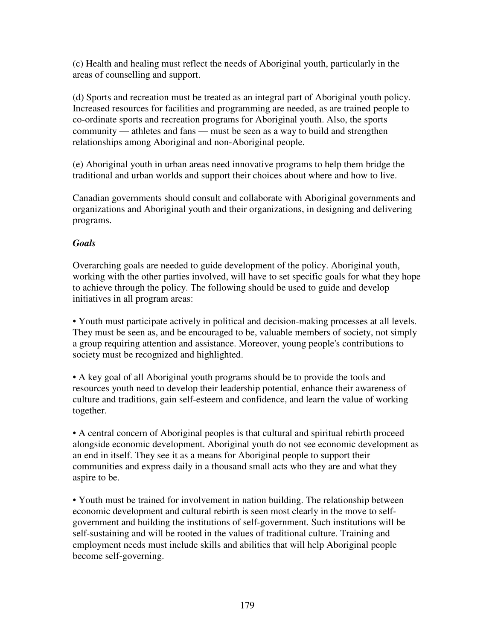(c) Health and healing must reflect the needs of Aboriginal youth, particularly in the areas of counselling and support.

(d) Sports and recreation must be treated as an integral part of Aboriginal youth policy. Increased resources for facilities and programming are needed, as are trained people to co-ordinate sports and recreation programs for Aboriginal youth. Also, the sports community — athletes and fans — must be seen as a way to build and strengthen relationships among Aboriginal and non-Aboriginal people.

(e) Aboriginal youth in urban areas need innovative programs to help them bridge the traditional and urban worlds and support their choices about where and how to live.

Canadian governments should consult and collaborate with Aboriginal governments and organizations and Aboriginal youth and their organizations, in designing and delivering programs.

## *Goals*

Overarching goals are needed to guide development of the policy. Aboriginal youth, working with the other parties involved, will have to set specific goals for what they hope to achieve through the policy. The following should be used to guide and develop initiatives in all program areas:

• Youth must participate actively in political and decision-making processes at all levels. They must be seen as, and be encouraged to be, valuable members of society, not simply a group requiring attention and assistance. Moreover, young people's contributions to society must be recognized and highlighted.

• A key goal of all Aboriginal youth programs should be to provide the tools and resources youth need to develop their leadership potential, enhance their awareness of culture and traditions, gain self-esteem and confidence, and learn the value of working together.

• A central concern of Aboriginal peoples is that cultural and spiritual rebirth proceed alongside economic development. Aboriginal youth do not see economic development as an end in itself. They see it as a means for Aboriginal people to support their communities and express daily in a thousand small acts who they are and what they aspire to be.

• Youth must be trained for involvement in nation building. The relationship between economic development and cultural rebirth is seen most clearly in the move to selfgovernment and building the institutions of self-government. Such institutions will be self-sustaining and will be rooted in the values of traditional culture. Training and employment needs must include skills and abilities that will help Aboriginal people become self-governing.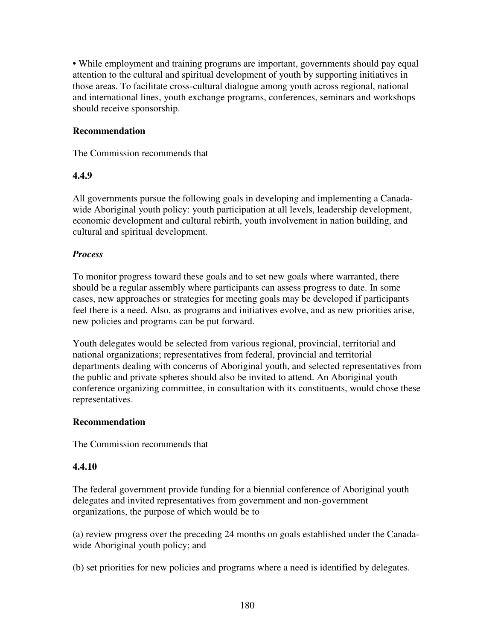• While employment and training programs are important, governments should pay equal attention to the cultural and spiritual development of youth by supporting initiatives in those areas. To facilitate cross-cultural dialogue among youth across regional, national and international lines, youth exchange programs, conferences, seminars and workshops should receive sponsorship.

#### **Recommendation**

The Commission recommends that

## **4.4.9**

All governments pursue the following goals in developing and implementing a Canadawide Aboriginal youth policy: youth participation at all levels, leadership development, economic development and cultural rebirth, youth involvement in nation building, and cultural and spiritual development.

## *Process*

To monitor progress toward these goals and to set new goals where warranted, there should be a regular assembly where participants can assess progress to date. In some cases, new approaches or strategies for meeting goals may be developed if participants feel there is a need. Also, as programs and initiatives evolve, and as new priorities arise, new policies and programs can be put forward.

Youth delegates would be selected from various regional, provincial, territorial and national organizations; representatives from federal, provincial and territorial departments dealing with concerns of Aboriginal youth, and selected representatives from the public and private spheres should also be invited to attend. An Aboriginal youth conference organizing committee, in consultation with its constituents, would chose these representatives.

#### **Recommendation**

The Commission recommends that

## **4.4.10**

The federal government provide funding for a biennial conference of Aboriginal youth delegates and invited representatives from government and non-government organizations, the purpose of which would be to

(a) review progress over the preceding 24 months on goals established under the Canadawide Aboriginal youth policy; and

(b) set priorities for new policies and programs where a need is identified by delegates.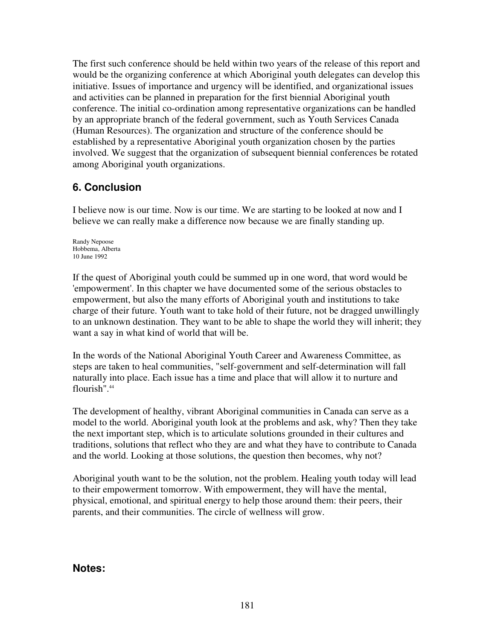The first such conference should be held within two years of the release of this report and would be the organizing conference at which Aboriginal youth delegates can develop this initiative. Issues of importance and urgency will be identified, and organizational issues and activities can be planned in preparation for the first biennial Aboriginal youth conference. The initial co-ordination among representative organizations can be handled by an appropriate branch of the federal government, such as Youth Services Canada (Human Resources). The organization and structure of the conference should be established by a representative Aboriginal youth organization chosen by the parties involved. We suggest that the organization of subsequent biennial conferences be rotated among Aboriginal youth organizations.

# **6. Conclusion**

I believe now is our time. Now is our time. We are starting to be looked at now and I believe we can really make a difference now because we are finally standing up.

Randy Nepoose Hobbema, Alberta 10 June 1992

If the quest of Aboriginal youth could be summed up in one word, that word would be 'empowerment'. In this chapter we have documented some of the serious obstacles to empowerment, but also the many efforts of Aboriginal youth and institutions to take charge of their future. Youth want to take hold of their future, not be dragged unwillingly to an unknown destination. They want to be able to shape the world they will inherit; they want a say in what kind of world that will be.

In the words of the National Aboriginal Youth Career and Awareness Committee, as steps are taken to heal communities, "self-government and self-determination will fall naturally into place. Each issue has a time and place that will allow it to nurture and flourish". 44

The development of healthy, vibrant Aboriginal communities in Canada can serve as a model to the world. Aboriginal youth look at the problems and ask, why? Then they take the next important step, which is to articulate solutions grounded in their cultures and traditions, solutions that reflect who they are and what they have to contribute to Canada and the world. Looking at those solutions, the question then becomes, why not?

Aboriginal youth want to be the solution, not the problem. Healing youth today will lead to their empowerment tomorrow. With empowerment, they will have the mental, physical, emotional, and spiritual energy to help those around them: their peers, their parents, and their communities. The circle of wellness will grow.

## **Notes:**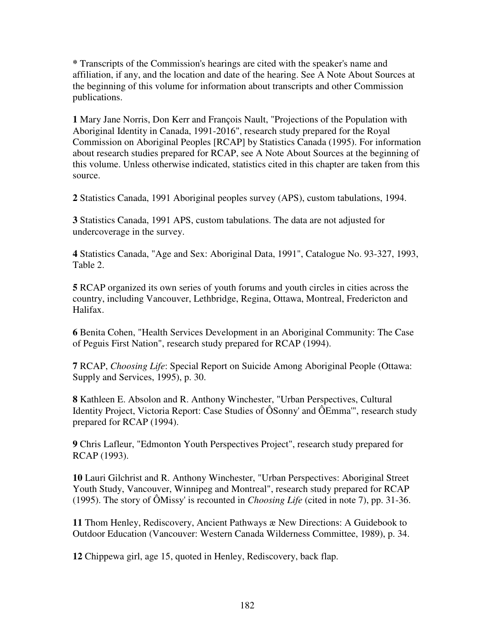**\*** Transcripts of the Commission's hearings are cited with the speaker's name and affiliation, if any, and the location and date of the hearing. See A Note About Sources at the beginning of this volume for information about transcripts and other Commission publications.

**1** Mary Jane Norris, Don Kerr and François Nault, "Projections of the Population with Aboriginal Identity in Canada, 1991-2016", research study prepared for the Royal Commission on Aboriginal Peoples [RCAP] by Statistics Canada (1995). For information about research studies prepared for RCAP, see A Note About Sources at the beginning of this volume. Unless otherwise indicated, statistics cited in this chapter are taken from this source.

**2** Statistics Canada, 1991 Aboriginal peoples survey (APS), custom tabulations, 1994.

**3** Statistics Canada, 1991 APS, custom tabulations. The data are not adjusted for undercoverage in the survey.

**4** Statistics Canada, "Age and Sex: Aboriginal Data, 1991", Catalogue No. 93-327, 1993, Table 2.

**5** RCAP organized its own series of youth forums and youth circles in cities across the country, including Vancouver, Lethbridge, Regina, Ottawa, Montreal, Fredericton and Halifax.

**6** Benita Cohen, "Health Services Development in an Aboriginal Community: The Case of Peguis First Nation", research study prepared for RCAP (1994).

**7** RCAP, *Choosing Life*: Special Report on Suicide Among Aboriginal People (Ottawa: Supply and Services, 1995), p. 30.

**8** Kathleen E. Absolon and R. Anthony Winchester, "Urban Perspectives, Cultural Identity Project, Victoria Report: Case Studies of ÔSonny' and ÔEmma'", research study prepared for RCAP (1994).

**9** Chris Lafleur, "Edmonton Youth Perspectives Project", research study prepared for RCAP (1993).

**10** Lauri Gilchrist and R. Anthony Winchester, "Urban Perspectives: Aboriginal Street Youth Study, Vancouver, Winnipeg and Montreal", research study prepared for RCAP (1995). The story of ÔMissy' is recounted in *Choosing Life* (cited in note 7), pp. 31-36.

**11** Thom Henley, Rediscovery, Ancient Pathways æ New Directions: A Guidebook to Outdoor Education (Vancouver: Western Canada Wilderness Committee, 1989), p. 34.

**12** Chippewa girl, age 15, quoted in Henley, Rediscovery, back flap.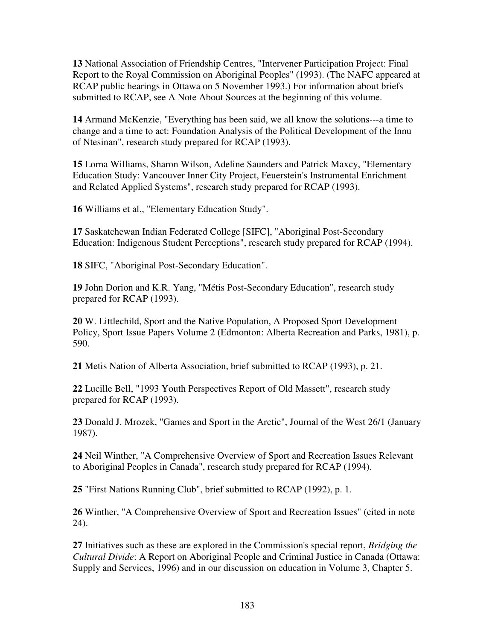**13** National Association of Friendship Centres, "Intervener Participation Project: Final Report to the Royal Commission on Aboriginal Peoples" (1993). (The NAFC appeared at RCAP public hearings in Ottawa on 5 November 1993.) For information about briefs submitted to RCAP, see A Note About Sources at the beginning of this volume.

**14** Armand McKenzie, "Everything has been said, we all know the solutions---a time to change and a time to act: Foundation Analysis of the Political Development of the Innu of Ntesinan", research study prepared for RCAP (1993).

**15** Lorna Williams, Sharon Wilson, Adeline Saunders and Patrick Maxcy, "Elementary Education Study: Vancouver Inner City Project, Feuerstein's Instrumental Enrichment and Related Applied Systems", research study prepared for RCAP (1993).

**16** Williams et al., "Elementary Education Study".

**17** Saskatchewan Indian Federated College [SIFC], "Aboriginal Post-Secondary Education: Indigenous Student Perceptions", research study prepared for RCAP (1994).

**18** SIFC, "Aboriginal Post-Secondary Education".

**19** John Dorion and K.R. Yang, "Métis Post-Secondary Education", research study prepared for RCAP (1993).

**20** W. Littlechild, Sport and the Native Population, A Proposed Sport Development Policy, Sport Issue Papers Volume 2 (Edmonton: Alberta Recreation and Parks, 1981), p. 590.

**21** Metis Nation of Alberta Association, brief submitted to RCAP (1993), p. 21.

**22** Lucille Bell, "1993 Youth Perspectives Report of Old Massett", research study prepared for RCAP (1993).

**23** Donald J. Mrozek, "Games and Sport in the Arctic", Journal of the West 26/1 (January 1987).

**24** Neil Winther, "A Comprehensive Overview of Sport and Recreation Issues Relevant to Aboriginal Peoples in Canada", research study prepared for RCAP (1994).

**25** "First Nations Running Club", brief submitted to RCAP (1992), p. 1.

**26** Winther, "A Comprehensive Overview of Sport and Recreation Issues" (cited in note 24).

**27** Initiatives such as these are explored in the Commission's special report, *Bridging the Cultural Divide*: A Report on Aboriginal People and Criminal Justice in Canada (Ottawa: Supply and Services, 1996) and in our discussion on education in Volume 3, Chapter 5.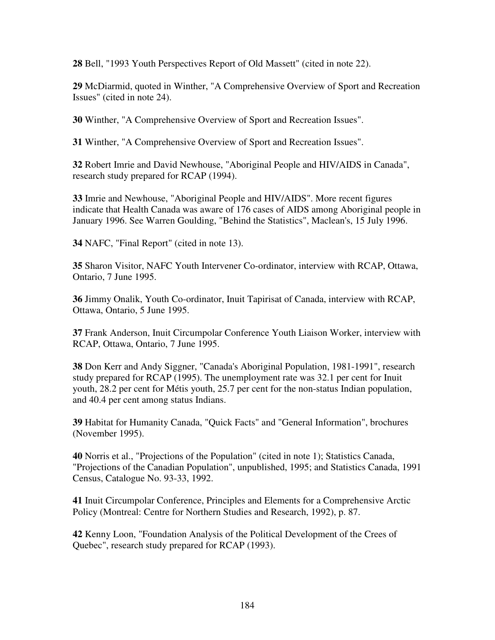**28** Bell, "1993 Youth Perspectives Report of Old Massett" (cited in note 22).

**29** McDiarmid, quoted in Winther, "A Comprehensive Overview of Sport and Recreation Issues" (cited in note 24).

**30** Winther, "A Comprehensive Overview of Sport and Recreation Issues".

**31** Winther, "A Comprehensive Overview of Sport and Recreation Issues".

**32** Robert Imrie and David Newhouse, "Aboriginal People and HIV/AIDS in Canada", research study prepared for RCAP (1994).

**33** Imrie and Newhouse, "Aboriginal People and HIV/AIDS". More recent figures indicate that Health Canada was aware of 176 cases of AIDS among Aboriginal people in January 1996. See Warren Goulding, "Behind the Statistics", Maclean's, 15 July 1996.

**34** NAFC, "Final Report" (cited in note 13).

**35** Sharon Visitor, NAFC Youth Intervener Co-ordinator, interview with RCAP, Ottawa, Ontario, 7 June 1995.

**36** Jimmy Onalik, Youth Co-ordinator, Inuit Tapirisat of Canada, interview with RCAP, Ottawa, Ontario, 5 June 1995.

**37** Frank Anderson, Inuit Circumpolar Conference Youth Liaison Worker, interview with RCAP, Ottawa, Ontario, 7 June 1995.

**38** Don Kerr and Andy Siggner, "Canada's Aboriginal Population, 1981-1991", research study prepared for RCAP (1995). The unemployment rate was 32.1 per cent for Inuit youth, 28.2 per cent for Métis youth, 25.7 per cent for the non-status Indian population, and 40.4 per cent among status Indians.

**39** Habitat for Humanity Canada, "Quick Facts" and "General Information", brochures (November 1995).

**40** Norris et al., "Projections of the Population" (cited in note 1); Statistics Canada, "Projections of the Canadian Population", unpublished, 1995; and Statistics Canada, 1991 Census, Catalogue No. 93-33, 1992.

**41** Inuit Circumpolar Conference, Principles and Elements for a Comprehensive Arctic Policy (Montreal: Centre for Northern Studies and Research, 1992), p. 87.

**42** Kenny Loon, "Foundation Analysis of the Political Development of the Crees of Quebec", research study prepared for RCAP (1993).